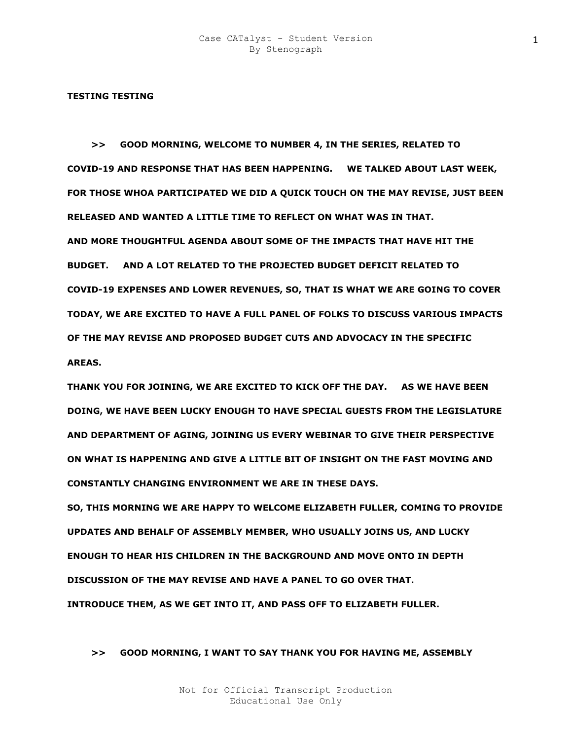#### **TESTING TESTING**

 **>> GOOD MORNING, WELCOME TO NUMBER 4, IN THE SERIES, RELATED TO COVID-19 AND RESPONSE THAT HAS BEEN HAPPENING. WE TALKED ABOUT LAST WEEK, FOR THOSE WHOA PARTICIPATED WE DID A QUICK TOUCH ON THE MAY REVISE, JUST BEEN RELEASED AND WANTED A LITTLE TIME TO REFLECT ON WHAT WAS IN THAT. AND MORE THOUGHTFUL AGENDA ABOUT SOME OF THE IMPACTS THAT HAVE HIT THE BUDGET. AND A LOT RELATED TO THE PROJECTED BUDGET DEFICIT RELATED TO COVID-19 EXPENSES AND LOWER REVENUES, SO, THAT IS WHAT WE ARE GOING TO COVER TODAY, WE ARE EXCITED TO HAVE A FULL PANEL OF FOLKS TO DISCUSS VARIOUS IMPACTS OF THE MAY REVISE AND PROPOSED BUDGET CUTS AND ADVOCACY IN THE SPECIFIC AREAS.** 

**THANK YOU FOR JOINING, WE ARE EXCITED TO KICK OFF THE DAY. AS WE HAVE BEEN DOING, WE HAVE BEEN LUCKY ENOUGH TO HAVE SPECIAL GUESTS FROM THE LEGISLATURE AND DEPARTMENT OF AGING, JOINING US EVERY WEBINAR TO GIVE THEIR PERSPECTIVE ON WHAT IS HAPPENING AND GIVE A LITTLE BIT OF INSIGHT ON THE FAST MOVING AND CONSTANTLY CHANGING ENVIRONMENT WE ARE IN THESE DAYS.** 

**SO, THIS MORNING WE ARE HAPPY TO WELCOME ELIZABETH FULLER, COMING TO PROVIDE UPDATES AND BEHALF OF ASSEMBLY MEMBER, WHO USUALLY JOINS US, AND LUCKY ENOUGH TO HEAR HIS CHILDREN IN THE BACKGROUND AND MOVE ONTO IN DEPTH DISCUSSION OF THE MAY REVISE AND HAVE A PANEL TO GO OVER THAT. INTRODUCE THEM, AS WE GET INTO IT, AND PASS OFF TO ELIZABETH FULLER.** 

# **>> GOOD MORNING, I WANT TO SAY THANK YOU FOR HAVING ME, ASSEMBLY**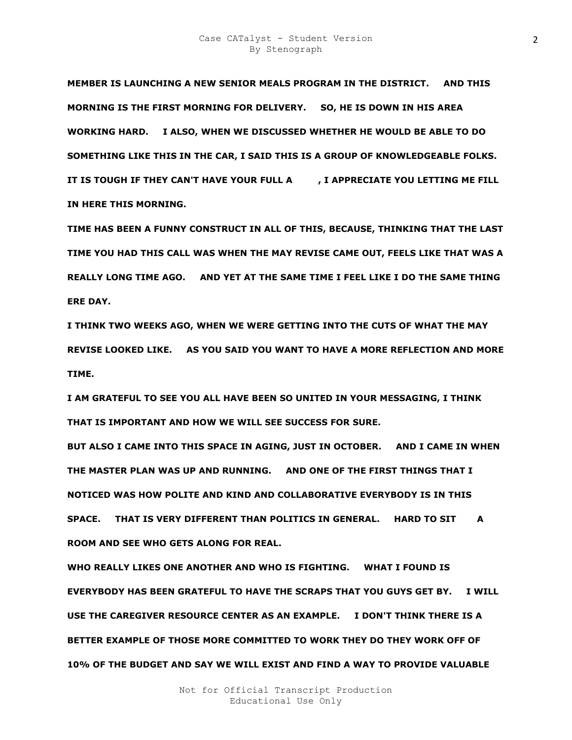**MEMBER IS LAUNCHING A NEW SENIOR MEALS PROGRAM IN THE DISTRICT. AND THIS MORNING IS THE FIRST MORNING FOR DELIVERY. SO, HE IS DOWN IN HIS AREA WORKING HARD. I ALSO, WHEN WE DISCUSSED WHETHER HE WOULD BE ABLE TO DO SOMETHING LIKE THIS IN THE CAR, I SAID THIS IS A GROUP OF KNOWLEDGEABLE FOLKS.**  IT IS TOUGH IF THEY CAN'T HAVE YOUR FULL A FILL ATT APPRECIATE YOU LETTING ME FILL **IN HERE THIS MORNING.** 

**TIME HAS BEEN A FUNNY CONSTRUCT IN ALL OF THIS, BECAUSE, THINKING THAT THE LAST TIME YOU HAD THIS CALL WAS WHEN THE MAY REVISE CAME OUT, FEELS LIKE THAT WAS A REALLY LONG TIME AGO. AND YET AT THE SAME TIME I FEEL LIKE I DO THE SAME THING ERE DAY.** 

**I THINK TWO WEEKS AGO, WHEN WE WERE GETTING INTO THE CUTS OF WHAT THE MAY REVISE LOOKED LIKE. AS YOU SAID YOU WANT TO HAVE A MORE REFLECTION AND MORE TIME.** 

**I AM GRATEFUL TO SEE YOU ALL HAVE BEEN SO UNITED IN YOUR MESSAGING, I THINK THAT IS IMPORTANT AND HOW WE WILL SEE SUCCESS FOR SURE.** 

**BUT ALSO I CAME INTO THIS SPACE IN AGING, JUST IN OCTOBER. AND I CAME IN WHEN THE MASTER PLAN WAS UP AND RUNNING. AND ONE OF THE FIRST THINGS THAT I NOTICED WAS HOW POLITE AND KIND AND COLLABORATIVE EVERYBODY IS IN THIS**  SPACE. THAT IS VERY DIFFERENT THAN POLITICS IN GENERAL. HARD TO SIT A **ROOM AND SEE WHO GETS ALONG FOR REAL.** 

**WHO REALLY LIKES ONE ANOTHER AND WHO IS FIGHTING. WHAT I FOUND IS EVERYBODY HAS BEEN GRATEFUL TO HAVE THE SCRAPS THAT YOU GUYS GET BY. I WILL USE THE CAREGIVER RESOURCE CENTER AS AN EXAMPLE. I DON'T THINK THERE IS A BETTER EXAMPLE OF THOSE MORE COMMITTED TO WORK THEY DO THEY WORK OFF OF 10% OF THE BUDGET AND SAY WE WILL EXIST AND FIND A WAY TO PROVIDE VALUABLE**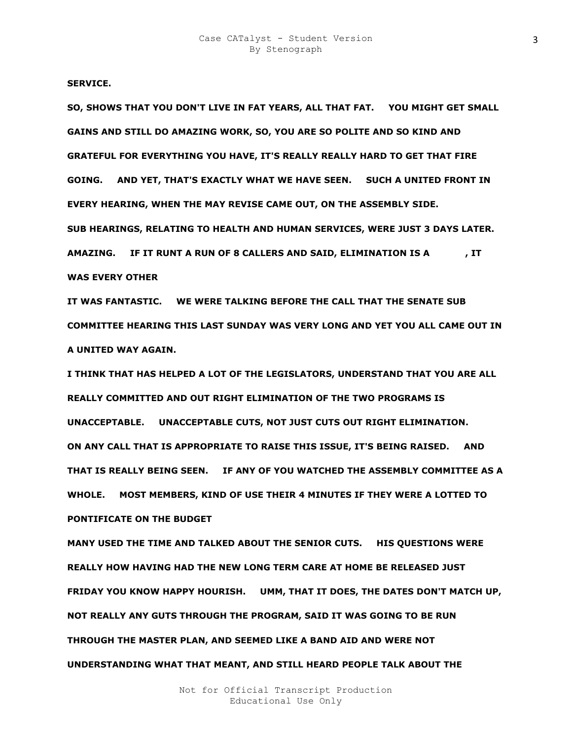**SERVICE.** 

**SO, SHOWS THAT YOU DON'T LIVE IN FAT YEARS, ALL THAT FAT. YOU MIGHT GET SMALL GAINS AND STILL DO AMAZING WORK, SO, YOU ARE SO POLITE AND SO KIND AND GRATEFUL FOR EVERYTHING YOU HAVE, IT'S REALLY REALLY HARD TO GET THAT FIRE GOING. AND YET, THAT'S EXACTLY WHAT WE HAVE SEEN. SUCH A UNITED FRONT IN EVERY HEARING, WHEN THE MAY REVISE CAME OUT, ON THE ASSEMBLY SIDE. SUB HEARINGS, RELATING TO HEALTH AND HUMAN SERVICES, WERE JUST 3 DAYS LATER. AMAZING. IF IT RUNT A RUN OF 8 CALLERS AND SAID, ELIMINATION IS AGREEJS, IT WAS EVERY OTHER** 

**IT WAS FANTASTIC. WE WERE TALKING BEFORE THE CALL THAT THE SENATE SUB COMMITTEE HEARING THIS LAST SUNDAY WAS VERY LONG AND YET YOU ALL CAME OUT IN A UNITED WAY AGAIN.** 

**I THINK THAT HAS HELPED A LOT OF THE LEGISLATORS, UNDERSTAND THAT YOU ARE ALL REALLY COMMITTED AND OUT RIGHT ELIMINATION OF THE TWO PROGRAMS IS UNACCEPTABLE. UNACCEPTABLE CUTS, NOT JUST CUTS OUT RIGHT ELIMINATION. ON ANY CALL THAT IS APPROPRIATE TO RAISE THIS ISSUE, IT'S BEING RAISED. AND THAT IS REALLY BEING SEEN. IF ANY OF YOU WATCHED THE ASSEMBLY COMMITTEE AS A WHOLE. MOST MEMBERS, KIND OF USE THEIR 4 MINUTES IF THEY WERE A LOTTED TO PONTIFICATE ON THE BUDGET** 

**MANY USED THE TIME AND TALKED ABOUT THE SENIOR CUTS. HIS QUESTIONS WERE REALLY HOW HAVING HAD THE NEW LONG TERM CARE AT HOME BE RELEASED JUST FRIDAY YOU KNOW HAPPY HOURISH. UMM, THAT IT DOES, THE DATES DON'T MATCH UP, NOT REALLY ANY GUTS THROUGH THE PROGRAM, SAID IT WAS GOING TO BE RUN THROUGH THE MASTER PLAN, AND SEEMED LIKE A BAND AID AND WERE NOT UNDERSTANDING WHAT THAT MEANT, AND STILL HEARD PEOPLE TALK ABOUT THE**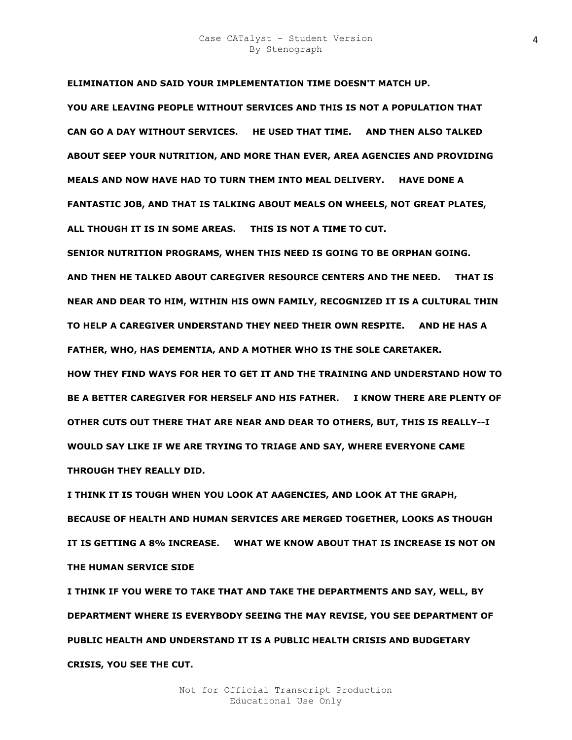**ELIMINATION AND SAID YOUR IMPLEMENTATION TIME DOESN'T MATCH UP. YOU ARE LEAVING PEOPLE WITHOUT SERVICES AND THIS IS NOT A POPULATION THAT CAN GO A DAY WITHOUT SERVICES. HE USED THAT TIME. AND THEN ALSO TALKED ABOUT SEEP YOUR NUTRITION, AND MORE THAN EVER, AREA AGENCIES AND PROVIDING MEALS AND NOW HAVE HAD TO TURN THEM INTO MEAL DELIVERY. HAVE DONE A FANTASTIC JOB, AND THAT IS TALKING ABOUT MEALS ON WHEELS, NOT GREAT PLATES, ALL THOUGH IT IS IN SOME AREAS. THIS IS NOT A TIME TO CUT.** 

**SENIOR NUTRITION PROGRAMS, WHEN THIS NEED IS GOING TO BE ORPHAN GOING. AND THEN HE TALKED ABOUT CAREGIVER RESOURCE CENTERS AND THE NEED. THAT IS NEAR AND DEAR TO HIM, WITHIN HIS OWN FAMILY, RECOGNIZED IT IS A CULTURAL THIN TO HELP A CAREGIVER UNDERSTAND THEY NEED THEIR OWN RESPITE. AND HE HAS A FATHER, WHO, HAS DEMENTIA, AND A MOTHER WHO IS THE SOLE CARETAKER.** 

**HOW THEY FIND WAYS FOR HER TO GET IT AND THE TRAINING AND UNDERSTAND HOW TO BE A BETTER CAREGIVER FOR HERSELF AND HIS FATHER. I KNOW THERE ARE PLENTY OF OTHER CUTS OUT THERE THAT ARE NEAR AND DEAR TO OTHERS, BUT, THIS IS REALLY--I WOULD SAY LIKE IF WE ARE TRYING TO TRIAGE AND SAY, WHERE EVERYONE CAME THROUGH THEY REALLY DID.** 

**I THINK IT IS TOUGH WHEN YOU LOOK AT AAGENCIES, AND LOOK AT THE GRAPH, BECAUSE OF HEALTH AND HUMAN SERVICES ARE MERGED TOGETHER, LOOKS AS THOUGH IT IS GETTING A 8% INCREASE. WHAT WE KNOW ABOUT THAT IS INCREASE IS NOT ON THE HUMAN SERVICE SIDE** 

**I THINK IF YOU WERE TO TAKE THAT AND TAKE THE DEPARTMENTS AND SAY, WELL, BY DEPARTMENT WHERE IS EVERYBODY SEEING THE MAY REVISE, YOU SEE DEPARTMENT OF PUBLIC HEALTH AND UNDERSTAND IT IS A PUBLIC HEALTH CRISIS AND BUDGETARY CRISIS, YOU SEE THE CUT.**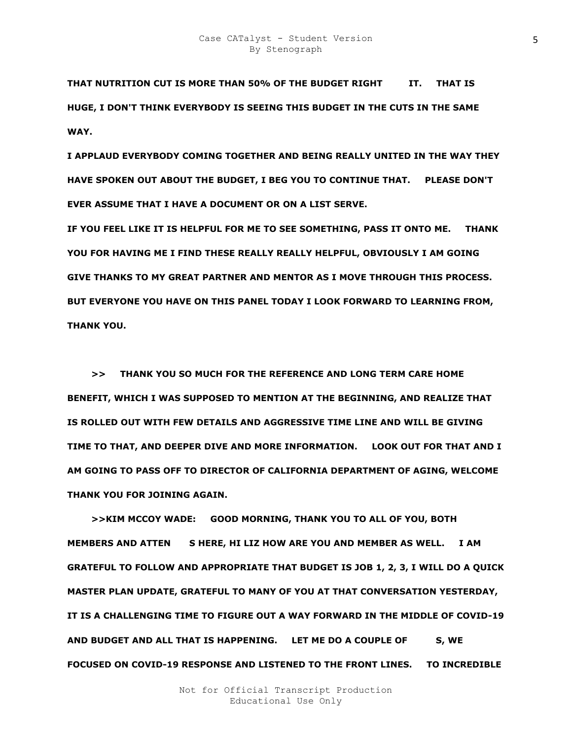THAT NUTRITION CUT IS MORE THAN 50% OF THE BUDGET RIGHT **IT. THAT IS HUGE, I DON'T THINK EVERYBODY IS SEEING THIS BUDGET IN THE CUTS IN THE SAME WAY.** 

**I APPLAUD EVERYBODY COMING TOGETHER AND BEING REALLY UNITED IN THE WAY THEY HAVE SPOKEN OUT ABOUT THE BUDGET, I BEG YOU TO CONTINUE THAT. PLEASE DON'T EVER ASSUME THAT I HAVE A DOCUMENT OR ON A LIST SERVE.** 

**IF YOU FEEL LIKE IT IS HELPFUL FOR ME TO SEE SOMETHING, PASS IT ONTO ME. THANK YOU FOR HAVING ME I FIND THESE REALLY REALLY HELPFUL, OBVIOUSLY I AM GOING GIVE THANKS TO MY GREAT PARTNER AND MENTOR AS I MOVE THROUGH THIS PROCESS. BUT EVERYONE YOU HAVE ON THIS PANEL TODAY I LOOK FORWARD TO LEARNING FROM, THANK YOU.** 

 **>> THANK YOU SO MUCH FOR THE REFERENCE AND LONG TERM CARE HOME BENEFIT, WHICH I WAS SUPPOSED TO MENTION AT THE BEGINNING, AND REALIZE THAT IS ROLLED OUT WITH FEW DETAILS AND AGGRESSIVE TIME LINE AND WILL BE GIVING TIME TO THAT, AND DEEPER DIVE AND MORE INFORMATION. LOOK OUT FOR THAT AND I AM GOING TO PASS OFF TO DIRECTOR OF CALIFORNIA DEPARTMENT OF AGING, WELCOME THANK YOU FOR JOINING AGAIN.** 

 **>>KIM MCCOY WADE: GOOD MORNING, THANK YOU TO ALL OF YOU, BOTH MEMBERS AND ATTEN SHERE, HI LIZ HOW ARE YOU AND MEMBER AS WELL. I AM GRATEFUL TO FOLLOW AND APPROPRIATE THAT BUDGET IS JOB 1, 2, 3, I WILL DO A QUICK MASTER PLAN UPDATE, GRATEFUL TO MANY OF YOU AT THAT CONVERSATION YESTERDAY, IT IS A CHALLENGING TIME TO FIGURE OUT A WAY FORWARD IN THE MIDDLE OF COVID-19**  AND BUDGET AND ALL THAT IS HAPPENING. LET ME DO A COUPLE OF S, WE **FOCUSED ON COVID-19 RESPONSE AND LISTENED TO THE FRONT LINES. TO INCREDIBLE**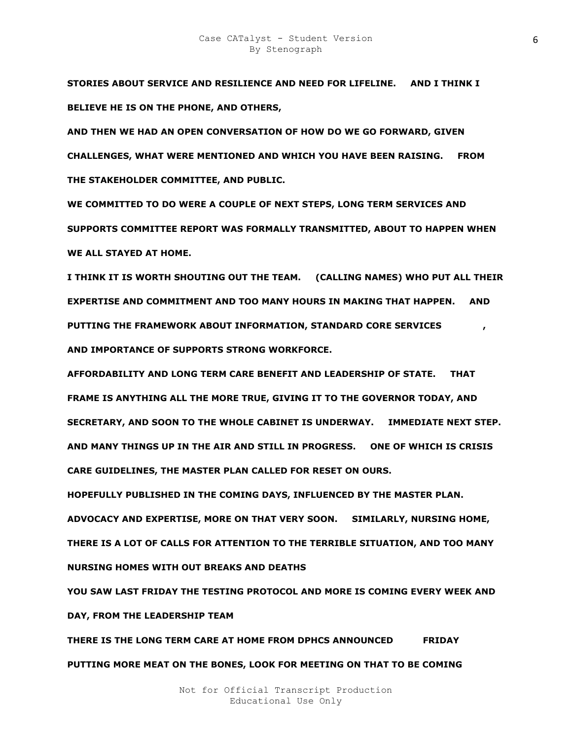**STORIES ABOUT SERVICE AND RESILIENCE AND NEED FOR LIFELINE. AND I THINK I BELIEVE HE IS ON THE PHONE, AND OTHERS,** 

**AND THEN WE HAD AN OPEN CONVERSATION OF HOW DO WE GO FORWARD, GIVEN CHALLENGES, WHAT WERE MENTIONED AND WHICH YOU HAVE BEEN RAISING. FROM THE STAKEHOLDER COMMITTEE, AND PUBLIC.** 

**WE COMMITTED TO DO WERE A COUPLE OF NEXT STEPS, LONG TERM SERVICES AND SUPPORTS COMMITTEE REPORT WAS FORMALLY TRANSMITTED, ABOUT TO HAPPEN WHEN WE ALL STAYED AT HOME.** 

**I THINK IT IS WORTH SHOUTING OUT THE TEAM. (CALLING NAMES) WHO PUT ALL THEIR EXPERTISE AND COMMITMENT AND TOO MANY HOURS IN MAKING THAT HAPPEN. AND PUTTING THE FRAMEWORK ABOUT INFORMATION, STANDARD CORE SERVICES AND IMPORTANCE OF SUPPORTS STRONG WORKFORCE.** 

**AFFORDABILITY AND LONG TERM CARE BENEFIT AND LEADERSHIP OF STATE. THAT FRAME IS ANYTHING ALL THE MORE TRUE, GIVING IT TO THE GOVERNOR TODAY, AND SECRETARY, AND SOON TO THE WHOLE CABINET IS UNDERWAY. IMMEDIATE NEXT STEP. AND MANY THINGS UP IN THE AIR AND STILL IN PROGRESS. ONE OF WHICH IS CRISIS CARE GUIDELINES, THE MASTER PLAN CALLED FOR RESET ON OURS.** 

**HOPEFULLY PUBLISHED IN THE COMING DAYS, INFLUENCED BY THE MASTER PLAN. ADVOCACY AND EXPERTISE, MORE ON THAT VERY SOON. SIMILARLY, NURSING HOME, THERE IS A LOT OF CALLS FOR ATTENTION TO THE TERRIBLE SITUATION, AND TOO MANY NURSING HOMES WITH OUT BREAKS AND DEATHS** 

**YOU SAW LAST FRIDAY THE TESTING PROTOCOL AND MORE IS COMING EVERY WEEK AND DAY, FROM THE LEADERSHIP TEAM** 

**THERE IS THE LONG TERM CARE AT HOME FROM DPHCS ANNOUNCED FRIDAY PUTTING MORE MEAT ON THE BONES, LOOK FOR MEETING ON THAT TO BE COMING**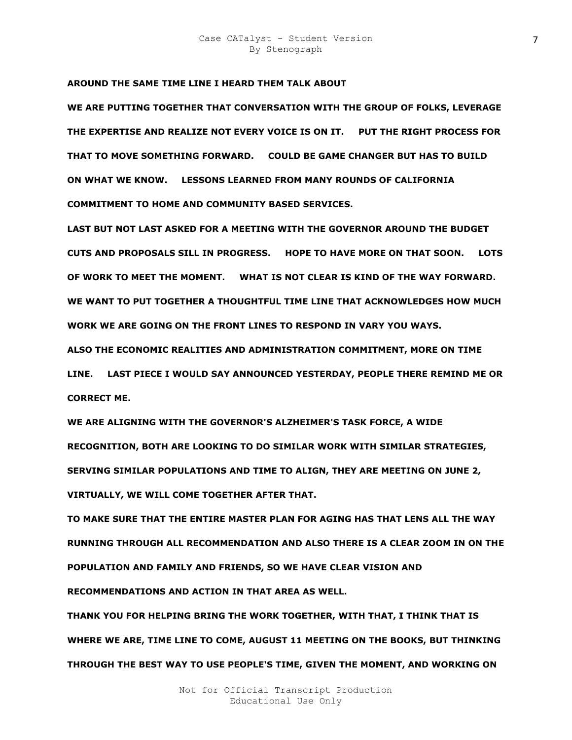# **AROUND THE SAME TIME LINE I HEARD THEM TALK ABOUT**

**WE ARE PUTTING TOGETHER THAT CONVERSATION WITH THE GROUP OF FOLKS, LEVERAGE THE EXPERTISE AND REALIZE NOT EVERY VOICE IS ON IT. PUT THE RIGHT PROCESS FOR THAT TO MOVE SOMETHING FORWARD. COULD BE GAME CHANGER BUT HAS TO BUILD ON WHAT WE KNOW. LESSONS LEARNED FROM MANY ROUNDS OF CALIFORNIA COMMITMENT TO HOME AND COMMUNITY BASED SERVICES.** 

**LAST BUT NOT LAST ASKED FOR A MEETING WITH THE GOVERNOR AROUND THE BUDGET CUTS AND PROPOSALS SILL IN PROGRESS. HOPE TO HAVE MORE ON THAT SOON. LOTS OF WORK TO MEET THE MOMENT. WHAT IS NOT CLEAR IS KIND OF THE WAY FORWARD. WE WANT TO PUT TOGETHER A THOUGHTFUL TIME LINE THAT ACKNOWLEDGES HOW MUCH WORK WE ARE GOING ON THE FRONT LINES TO RESPOND IN VARY YOU WAYS.** 

**ALSO THE ECONOMIC REALITIES AND ADMINISTRATION COMMITMENT, MORE ON TIME** 

**LINE. LAST PIECE I WOULD SAY ANNOUNCED YESTERDAY, PEOPLE THERE REMIND ME OR CORRECT ME.** 

**WE ARE ALIGNING WITH THE GOVERNOR'S ALZHEIMER'S TASK FORCE, A WIDE RECOGNITION, BOTH ARE LOOKING TO DO SIMILAR WORK WITH SIMILAR STRATEGIES, SERVING SIMILAR POPULATIONS AND TIME TO ALIGN, THEY ARE MEETING ON JUNE 2, VIRTUALLY, WE WILL COME TOGETHER AFTER THAT.** 

**TO MAKE SURE THAT THE ENTIRE MASTER PLAN FOR AGING HAS THAT LENS ALL THE WAY RUNNING THROUGH ALL RECOMMENDATION AND ALSO THERE IS A CLEAR ZOOM IN ON THE POPULATION AND FAMILY AND FRIENDS, SO WE HAVE CLEAR VISION AND RECOMMENDATIONS AND ACTION IN THAT AREA AS WELL.** 

**THANK YOU FOR HELPING BRING THE WORK TOGETHER, WITH THAT, I THINK THAT IS WHERE WE ARE, TIME LINE TO COME, AUGUST 11 MEETING ON THE BOOKS, BUT THINKING THROUGH THE BEST WAY TO USE PEOPLE'S TIME, GIVEN THE MOMENT, AND WORKING ON**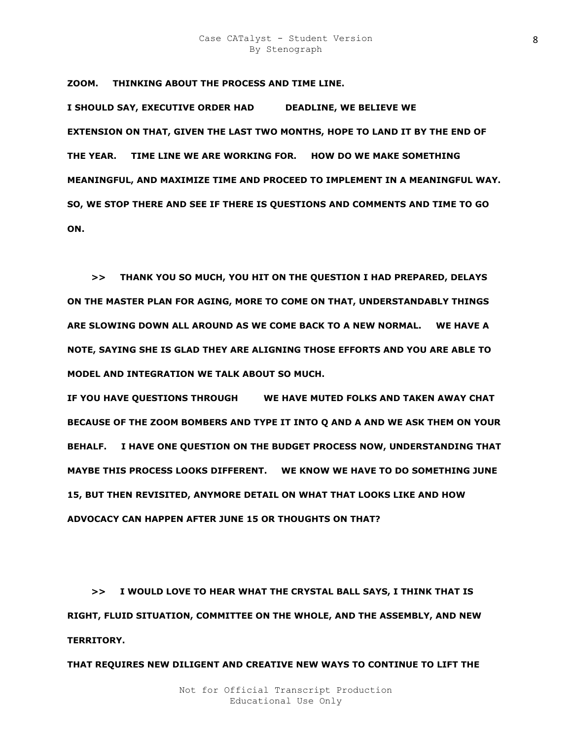**ZOOM. THINKING ABOUT THE PROCESS AND TIME LINE.** 

**I SHOULD SAY, EXECUTIVE ORDER HAD DEADLINE, WE BELIEVE WE EXTENSION ON THAT, GIVEN THE LAST TWO MONTHS, HOPE TO LAND IT BY THE END OF THE YEAR. TIME LINE WE ARE WORKING FOR. HOW DO WE MAKE SOMETHING MEANINGFUL, AND MAXIMIZE TIME AND PROCEED TO IMPLEMENT IN A MEANINGFUL WAY. SO, WE STOP THERE AND SEE IF THERE IS QUESTIONS AND COMMENTS AND TIME TO GO ON.** 

 **>> THANK YOU SO MUCH, YOU HIT ON THE QUESTION I HAD PREPARED, DELAYS ON THE MASTER PLAN FOR AGING, MORE TO COME ON THAT, UNDERSTANDABLY THINGS ARE SLOWING DOWN ALL AROUND AS WE COME BACK TO A NEW NORMAL. WE HAVE A NOTE, SAYING SHE IS GLAD THEY ARE ALIGNING THOSE EFFORTS AND YOU ARE ABLE TO MODEL AND INTEGRATION WE TALK ABOUT SO MUCH.** 

**IF YOU HAVE QUESTIONS THROUGH WE HAVE MUTED FOLKS AND TAKEN AWAY CHAT BECAUSE OF THE ZOOM BOMBERS AND TYPE IT INTO Q AND A AND WE ASK THEM ON YOUR BEHALF. I HAVE ONE QUESTION ON THE BUDGET PROCESS NOW, UNDERSTANDING THAT MAYBE THIS PROCESS LOOKS DIFFERENT. WE KNOW WE HAVE TO DO SOMETHING JUNE 15, BUT THEN REVISITED, ANYMORE DETAIL ON WHAT THAT LOOKS LIKE AND HOW ADVOCACY CAN HAPPEN AFTER JUNE 15 OR THOUGHTS ON THAT?** 

 **>> I WOULD LOVE TO HEAR WHAT THE CRYSTAL BALL SAYS, I THINK THAT IS RIGHT, FLUID SITUATION, COMMITTEE ON THE WHOLE, AND THE ASSEMBLY, AND NEW TERRITORY.** 

**THAT REQUIRES NEW DILIGENT AND CREATIVE NEW WAYS TO CONTINUE TO LIFT THE**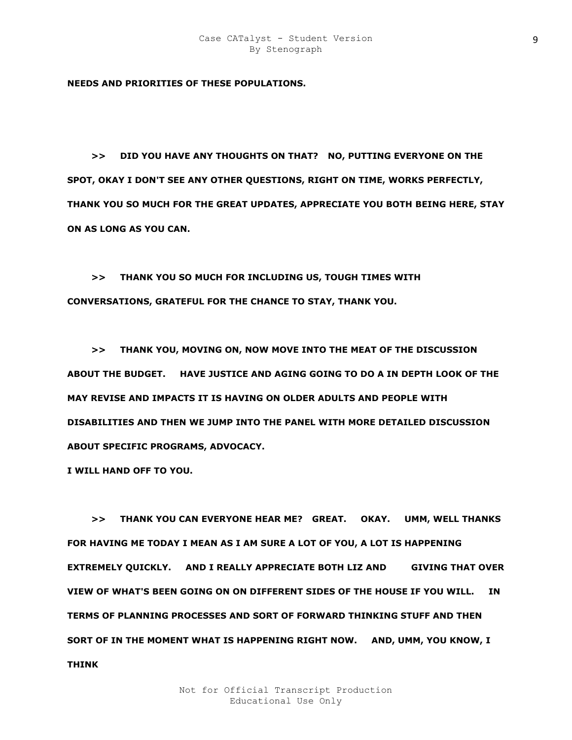**NEEDS AND PRIORITIES OF THESE POPULATIONS.** 

 **>> DID YOU HAVE ANY THOUGHTS ON THAT? NO, PUTTING EVERYONE ON THE SPOT, OKAY I DON'T SEE ANY OTHER QUESTIONS, RIGHT ON TIME, WORKS PERFECTLY, THANK YOU SO MUCH FOR THE GREAT UPDATES, APPRECIATE YOU BOTH BEING HERE, STAY ON AS LONG AS YOU CAN.** 

 **>> THANK YOU SO MUCH FOR INCLUDING US, TOUGH TIMES WITH CONVERSATIONS, GRATEFUL FOR THE CHANCE TO STAY, THANK YOU.** 

 **>> THANK YOU, MOVING ON, NOW MOVE INTO THE MEAT OF THE DISCUSSION ABOUT THE BUDGET. HAVE JUSTICE AND AGING GOING TO DO A IN DEPTH LOOK OF THE MAY REVISE AND IMPACTS IT IS HAVING ON OLDER ADULTS AND PEOPLE WITH DISABILITIES AND THEN WE JUMP INTO THE PANEL WITH MORE DETAILED DISCUSSION ABOUT SPECIFIC PROGRAMS, ADVOCACY.** 

**I WILL HAND OFF TO YOU.** 

 **>> THANK YOU CAN EVERYONE HEAR ME? GREAT. OKAY. UMM, WELL THANKS FOR HAVING ME TODAY I MEAN AS I AM SURE A LOT OF YOU, A LOT IS HAPPENING EXTREMELY QUICKLY.** AND I REALLY APPRECIATE BOTH LIZ AND GIVING THAT OVER **VIEW OF WHAT'S BEEN GOING ON ON DIFFERENT SIDES OF THE HOUSE IF YOU WILL. IN TERMS OF PLANNING PROCESSES AND SORT OF FORWARD THINKING STUFF AND THEN SORT OF IN THE MOMENT WHAT IS HAPPENING RIGHT NOW. AND, UMM, YOU KNOW, I THINK**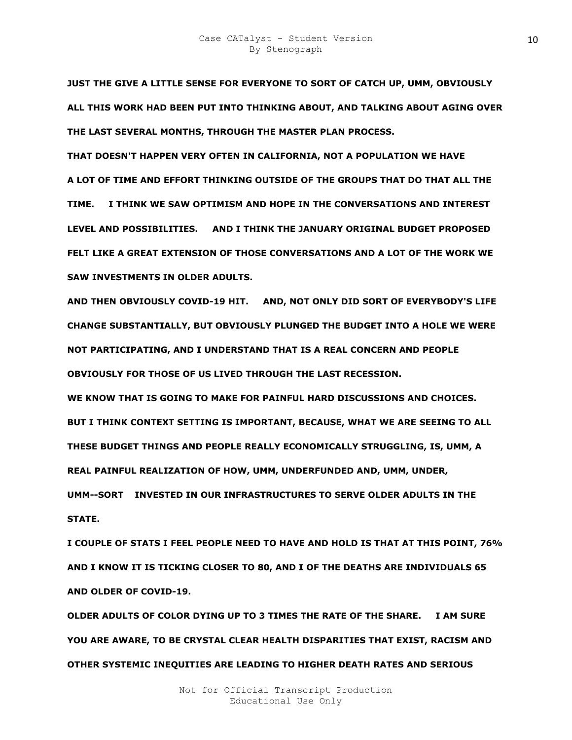**JUST THE GIVE A LITTLE SENSE FOR EVERYONE TO SORT OF CATCH UP, UMM, OBVIOUSLY ALL THIS WORK HAD BEEN PUT INTO THINKING ABOUT, AND TALKING ABOUT AGING OVER THE LAST SEVERAL MONTHS, THROUGH THE MASTER PLAN PROCESS.** 

**THAT DOESN'T HAPPEN VERY OFTEN IN CALIFORNIA, NOT A POPULATION WE HAVE A LOT OF TIME AND EFFORT THINKING OUTSIDE OF THE GROUPS THAT DO THAT ALL THE TIME. I THINK WE SAW OPTIMISM AND HOPE IN THE CONVERSATIONS AND INTEREST LEVEL AND POSSIBILITIES. AND I THINK THE JANUARY ORIGINAL BUDGET PROPOSED FELT LIKE A GREAT EXTENSION OF THOSE CONVERSATIONS AND A LOT OF THE WORK WE SAW INVESTMENTS IN OLDER ADULTS.** 

**AND THEN OBVIOUSLY COVID-19 HIT. AND, NOT ONLY DID SORT OF EVERYBODY'S LIFE CHANGE SUBSTANTIALLY, BUT OBVIOUSLY PLUNGED THE BUDGET INTO A HOLE WE WERE NOT PARTICIPATING, AND I UNDERSTAND THAT IS A REAL CONCERN AND PEOPLE OBVIOUSLY FOR THOSE OF US LIVED THROUGH THE LAST RECESSION.** 

**WE KNOW THAT IS GOING TO MAKE FOR PAINFUL HARD DISCUSSIONS AND CHOICES. BUT I THINK CONTEXT SETTING IS IMPORTANT, BECAUSE, WHAT WE ARE SEEING TO ALL THESE BUDGET THINGS AND PEOPLE REALLY ECONOMICALLY STRUGGLING, IS, UMM, A REAL PAINFUL REALIZATION OF HOW, UMM, UNDERFUNDED AND, UMM, UNDER, UMM--SORT F INVESTED IN OUR INFRASTRUCTURES TO SERVE OLDER ADULTS IN THE STATE.** 

**I COUPLE OF STATS I FEEL PEOPLE NEED TO HAVE AND HOLD IS THAT AT THIS POINT, 76% AND I KNOW IT IS TICKING CLOSER TO 80, AND I OF THE DEATHS ARE INDIVIDUALS 65 AND OLDER OF COVID-19.** 

**OLDER ADULTS OF COLOR DYING UP TO 3 TIMES THE RATE OF THE SHARE. I AM SURE YOU ARE AWARE, TO BE CRYSTAL CLEAR HEALTH DISPARITIES THAT EXIST, RACISM AND OTHER SYSTEMIC INEQUITIES ARE LEADING TO HIGHER DEATH RATES AND SERIOUS**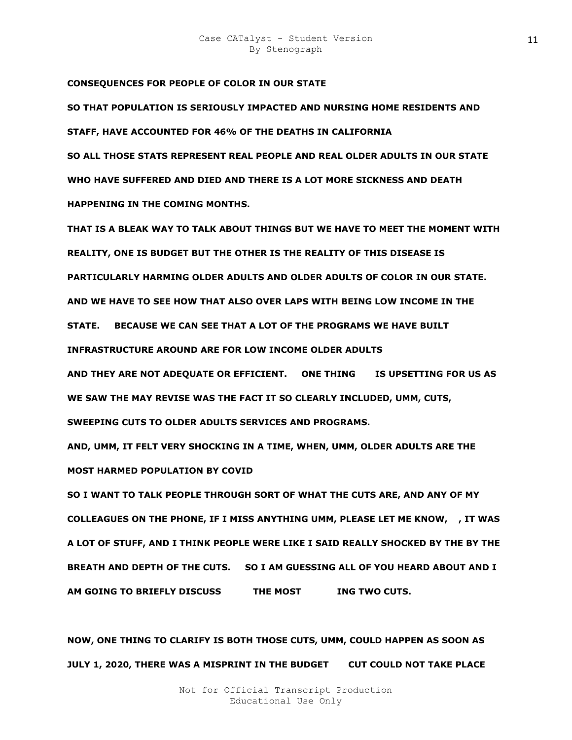**CONSEQUENCES FOR PEOPLE OF COLOR IN OUR STATE** 

**SO THAT POPULATION IS SERIOUSLY IMPACTED AND NURSING HOME RESIDENTS AND STAFF, HAVE ACCOUNTED FOR 46% OF THE DEATHS IN CALIFORNIA SO ALL THOSE STATS REPRESENT REAL PEOPLE AND REAL OLDER ADULTS IN OUR STATE WHO HAVE SUFFERED AND DIED AND THERE IS A LOT MORE SICKNESS AND DEATH HAPPENING IN THE COMING MONTHS.** 

**THAT IS A BLEAK WAY TO TALK ABOUT THINGS BUT WE HAVE TO MEET THE MOMENT WITH REALITY, ONE IS BUDGET BUT THE OTHER IS THE REALITY OF THIS DISEASE IS PARTICULARLY HARMING OLDER ADULTS AND OLDER ADULTS OF COLOR IN OUR STATE. AND WE HAVE TO SEE HOW THAT ALSO OVER LAPS WITH BEING LOW INCOME IN THE STATE. BECAUSE WE CAN SEE THAT A LOT OF THE PROGRAMS WE HAVE BUILT** 

**INFRASTRUCTURE AROUND ARE FOR LOW INCOME OLDER ADULTS** 

**AND THEY ARE NOT ADEQUATE OR EFFICIENT. ONE THING NA IS UPSETTING FOR US AS WE SAW THE MAY REVISE WAS THE FACT IT SO CLEARLY INCLUDED, UMM, CUTS, SWEEPING CUTS TO OLDER ADULTS SERVICES AND PROGRAMS.** 

**AND, UMM, IT FELT VERY SHOCKING IN A TIME, WHEN, UMM, OLDER ADULTS ARE THE MOST HARMED POPULATION BY COVID** 

**SO I WANT TO TALK PEOPLE THROUGH SORT OF WHAT THE CUTS ARE, AND ANY OF MY COLLEAGUES ON THE PHONE, IF I MISS ANYTHING UMM, PLEASE LET ME KNOW, M, IT WAS A LOT OF STUFF, AND I THINK PEOPLE WERE LIKE I SAID REALLY SHOCKED BY THE BY THE BREATH AND DEPTH OF THE CUTS. SO I AM GUESSING ALL OF YOU HEARD ABOUT AND I AM GOING TO BRIEFLY DISCUSS THE MOST THE TWO CUTS.** 

**NOW, ONE THING TO CLARIFY IS BOTH THOSE CUTS, UMM, COULD HAPPEN AS SOON AS JULY 1, 2020, THERE WAS A MISPRINT IN THE BUDGET CUT COULD NOT TAKE PLACE**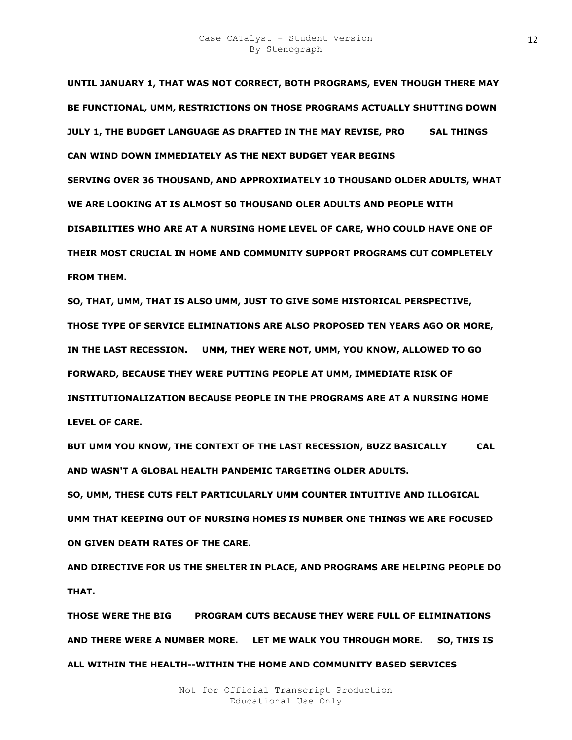**UNTIL JANUARY 1, THAT WAS NOT CORRECT, BOTH PROGRAMS, EVEN THOUGH THERE MAY BE FUNCTIONAL, UMM, RESTRICTIONS ON THOSE PROGRAMS ACTUALLY SHUTTING DOWN JULY 1, THE BUDGET LANGUAGE AS DRAFTED IN THE MAY REVISE, PRO SAL THINGS CAN WIND DOWN IMMEDIATELY AS THE NEXT BUDGET YEAR BEGINS SERVING OVER 36 THOUSAND, AND APPROXIMATELY 10 THOUSAND OLDER ADULTS, WHAT WE ARE LOOKING AT IS ALMOST 50 THOUSAND OLER ADULTS AND PEOPLE WITH DISABILITIES WHO ARE AT A NURSING HOME LEVEL OF CARE, WHO COULD HAVE ONE OF THEIR MOST CRUCIAL IN HOME AND COMMUNITY SUPPORT PROGRAMS CUT COMPLETELY FROM THEM.** 

**SO, THAT, UMM, THAT IS ALSO UMM, JUST TO GIVE SOME HISTORICAL PERSPECTIVE, THOSE TYPE OF SERVICE ELIMINATIONS ARE ALSO PROPOSED TEN YEARS AGO OR MORE, IN THE LAST RECESSION. UMM, THEY WERE NOT, UMM, YOU KNOW, ALLOWED TO GO FORWARD, BECAUSE THEY WERE PUTTING PEOPLE AT UMM, IMMEDIATE RISK OF INSTITUTIONALIZATION BECAUSE PEOPLE IN THE PROGRAMS ARE AT A NURSING HOME LEVEL OF CARE.** 

BUT UMM YOU KNOW, THE CONTEXT OF THE LAST RECESSION, BUZZ BASICALLY CAL **AND WASN'T A GLOBAL HEALTH PANDEMIC TARGETING OLDER ADULTS.** 

**SO, UMM, THESE CUTS FELT PARTICULARLY UMM COUNTER INTUITIVE AND ILLOGICAL UMM THAT KEEPING OUT OF NURSING HOMES IS NUMBER ONE THINGS WE ARE FOCUSED ON GIVEN DEATH RATES OF THE CARE.** 

**AND DIRECTIVE FOR US THE SHELTER IN PLACE, AND PROGRAMS ARE HELPING PEOPLE DO THAT.** 

**THOSE WERE THE BIG ESZ PROGRAM CUTS BECAUSE THEY WERE FULL OF ELIMINATIONS AND THERE WERE A NUMBER MORE. LET ME WALK YOU THROUGH MORE. SO, THIS IS ALL WITHIN THE HEALTH--WITHIN THE HOME AND COMMUNITY BASED SERVICES**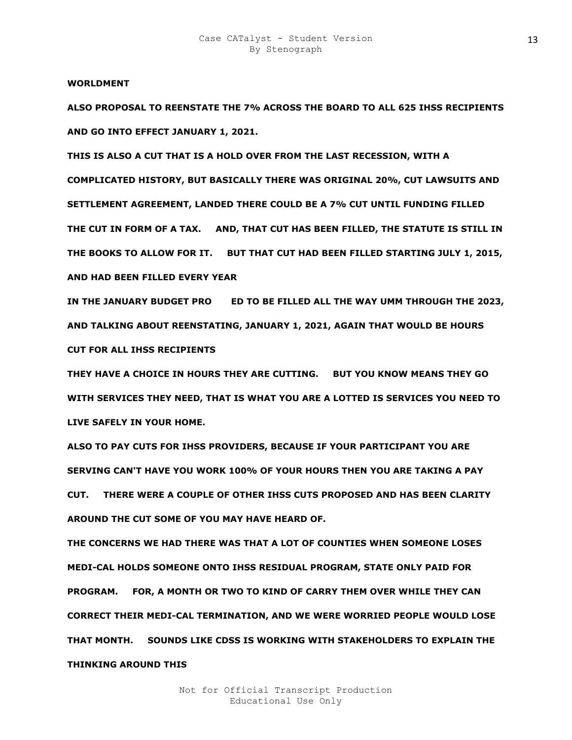#### **WORLDMENT**

**ALSO PROPOSAL TO REENSTATE THE 7% ACROSS THE BOARD TO ALL 625 IHSS RECIPIENTS AND GO INTO EFFECT JANUARY 1, 2021.** 

**THIS IS ALSO A CUT THAT IS A HOLD OVER FROM THE LAST RECESSION, WITH A COMPLICATED HISTORY, BUT BASICALLY THERE WAS ORIGINAL 20%, CUT LAWSUITS AND SETTLEMENT AGREEMENT, LANDED THERE COULD BE A 7% CUT UNTIL FUNDING FILLED THE CUT IN FORM OF A TAX. AND, THAT CUT HAS BEEN FILLED, THE STATUTE IS STILL IN THE BOOKS TO ALLOW FOR IT. BUT THAT CUT HAD BEEN FILLED STARTING JULY 1, 2015, AND HAD BEEN FILLED EVERY YEAR** 

IN THE JANUARY BUDGET PRO FOR TO BE FILLED ALL THE WAY UMM THROUGH THE 2023, **AND TALKING ABOUT REENSTATING, JANUARY 1, 2021, AGAIN THAT WOULD BE HOURS CUT FOR ALL IHSS RECIPIENTS** 

**THEY HAVE A CHOICE IN HOURS THEY ARE CUTTING. BUT YOU KNOW MEANS THEY GO WITH SERVICES THEY NEED, THAT IS WHAT YOU ARE A LOTTED IS SERVICES YOU NEED TO LIVE SAFELY IN YOUR HOME.** 

**ALSO TO PAY CUTS FOR IHSS PROVIDERS, BECAUSE IF YOUR PARTICIPANT YOU ARE SERVING CAN'T HAVE YOU WORK 100% OF YOUR HOURS THEN YOU ARE TAKING A PAY CUT. THERE WERE A COUPLE OF OTHER IHSS CUTS PROPOSED AND HAS BEEN CLARITY AROUND THE CUT SOME OF YOU MAY HAVE HEARD OF.** 

**THE CONCERNS WE HAD THERE WAS THAT A LOT OF COUNTIES WHEN SOMEONE LOSES MEDI-CAL HOLDS SOMEONE ONTO IHSS RESIDUAL PROGRAM, STATE ONLY PAID FOR PROGRAM. FOR, A MONTH OR TWO TO KIND OF CARRY THEM OVER WHILE THEY CAN CORRECT THEIR MEDI-CAL TERMINATION, AND WE WERE WORRIED PEOPLE WOULD LOSE THAT MONTH. SOUNDS LIKE CDSS IS WORKING WITH STAKEHOLDERS TO EXPLAIN THE THINKING AROUND THIS**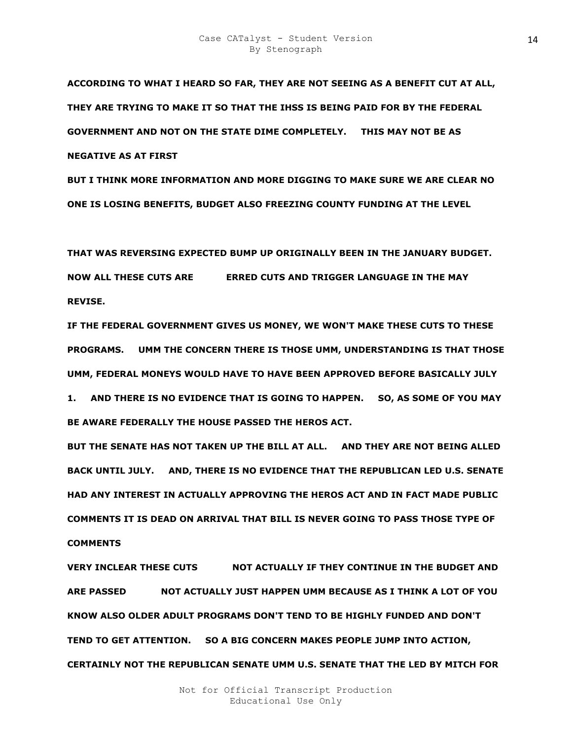**ACCORDING TO WHAT I HEARD SO FAR, THEY ARE NOT SEEING AS A BENEFIT CUT AT ALL, THEY ARE TRYING TO MAKE IT SO THAT THE IHSS IS BEING PAID FOR BY THE FEDERAL GOVERNMENT AND NOT ON THE STATE DIME COMPLETELY. THIS MAY NOT BE AS NEGATIVE AS AT FIRST** 

**BUT I THINK MORE INFORMATION AND MORE DIGGING TO MAKE SURE WE ARE CLEAR NO ONE IS LOSING BENEFITS, BUDGET ALSO FREEZING COUNTY FUNDING AT THE LEVEL** 

**THAT WAS REVERSING EXPECTED BUMP UP ORIGINALLY BEEN IN THE JANUARY BUDGET. NOW ALL THESE CUTS ARE ERRED CUTS AND TRIGGER LANGUAGE IN THE MAY REVISE.** 

**IF THE FEDERAL GOVERNMENT GIVES US MONEY, WE WON'T MAKE THESE CUTS TO THESE PROGRAMS. UMM THE CONCERN THERE IS THOSE UMM, UNDERSTANDING IS THAT THOSE UMM, FEDERAL MONEYS WOULD HAVE TO HAVE BEEN APPROVED BEFORE BASICALLY JULY** 

**1. AND THERE IS NO EVIDENCE THAT IS GOING TO HAPPEN. SO, AS SOME OF YOU MAY BE AWARE FEDERALLY THE HOUSE PASSED THE HEROS ACT.** 

**BUT THE SENATE HAS NOT TAKEN UP THE BILL AT ALL. AND THEY ARE NOT BEING ALLED BACK UNTIL JULY. AND, THERE IS NO EVIDENCE THAT THE REPUBLICAN LED U.S. SENATE HAD ANY INTEREST IN ACTUALLY APPROVING THE HEROS ACT AND IN FACT MADE PUBLIC COMMENTS IT IS DEAD ON ARRIVAL THAT BILL IS NEVER GOING TO PASS THOSE TYPE OF COMMENTS** 

**VERY INCLEAR THESE CUTS WOT ACTUALLY IF THEY CONTINUE IN THE BUDGET AND ARE PASSED WOUL NOT ACTUALLY JUST HAPPEN UMM BECAUSE AS I THINK A LOT OF YOU KNOW ALSO OLDER ADULT PROGRAMS DON'T TEND TO BE HIGHLY FUNDED AND DON'T TEND TO GET ATTENTION. SO A BIG CONCERN MAKES PEOPLE JUMP INTO ACTION, CERTAINLY NOT THE REPUBLICAN SENATE UMM U.S. SENATE THAT THE LED BY MITCH FOR**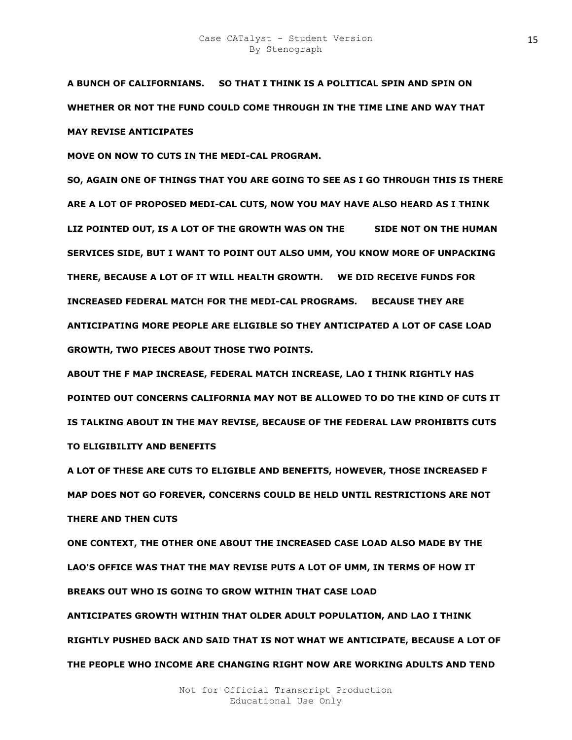**A BUNCH OF CALIFORNIANS. SO THAT I THINK IS A POLITICAL SPIN AND SPIN ON WHETHER OR NOT THE FUND COULD COME THROUGH IN THE TIME LINE AND WAY THAT MAY REVISE ANTICIPATES** 

**MOVE ON NOW TO CUTS IN THE MEDI-CAL PROGRAM.** 

**SO, AGAIN ONE OF THINGS THAT YOU ARE GOING TO SEE AS I GO THROUGH THIS IS THERE ARE A LOT OF PROPOSED MEDI-CAL CUTS, NOW YOU MAY HAVE ALSO HEARD AS I THINK**  LIZ POINTED OUT, IS A LOT OF THE GROWTH WAS ON THE SIDE NOT ON THE HUMAN **SERVICES SIDE, BUT I WANT TO POINT OUT ALSO UMM, YOU KNOW MORE OF UNPACKING THERE, BECAUSE A LOT OF IT WILL HEALTH GROWTH. WE DID RECEIVE FUNDS FOR INCREASED FEDERAL MATCH FOR THE MEDI-CAL PROGRAMS. BECAUSE THEY ARE ANTICIPATING MORE PEOPLE ARE ELIGIBLE SO THEY ANTICIPATED A LOT OF CASE LOAD GROWTH, TWO PIECES ABOUT THOSE TWO POINTS.** 

**ABOUT THE F MAP INCREASE, FEDERAL MATCH INCREASE, LAO I THINK RIGHTLY HAS POINTED OUT CONCERNS CALIFORNIA MAY NOT BE ALLOWED TO DO THE KIND OF CUTS IT IS TALKING ABOUT IN THE MAY REVISE, BECAUSE OF THE FEDERAL LAW PROHIBITS CUTS TO ELIGIBILITY AND BENEFITS** 

**A LOT OF THESE ARE CUTS TO ELIGIBLE AND BENEFITS, HOWEVER, THOSE INCREASED F MAP DOES NOT GO FOREVER, CONCERNS COULD BE HELD UNTIL RESTRICTIONS ARE NOT THERE AND THEN CUTS** 

**ONE CONTEXT, THE OTHER ONE ABOUT THE INCREASED CASE LOAD ALSO MADE BY THE LAO'S OFFICE WAS THAT THE MAY REVISE PUTS A LOT OF UMM, IN TERMS OF HOW IT BREAKS OUT WHO IS GOING TO GROW WITHIN THAT CASE LOAD ANTICIPATES GROWTH WITHIN THAT OLDER ADULT POPULATION, AND LAO I THINK RIGHTLY PUSHED BACK AND SAID THAT IS NOT WHAT WE ANTICIPATE, BECAUSE A LOT OF THE PEOPLE WHO INCOME ARE CHANGING RIGHT NOW ARE WORKING ADULTS AND TEND**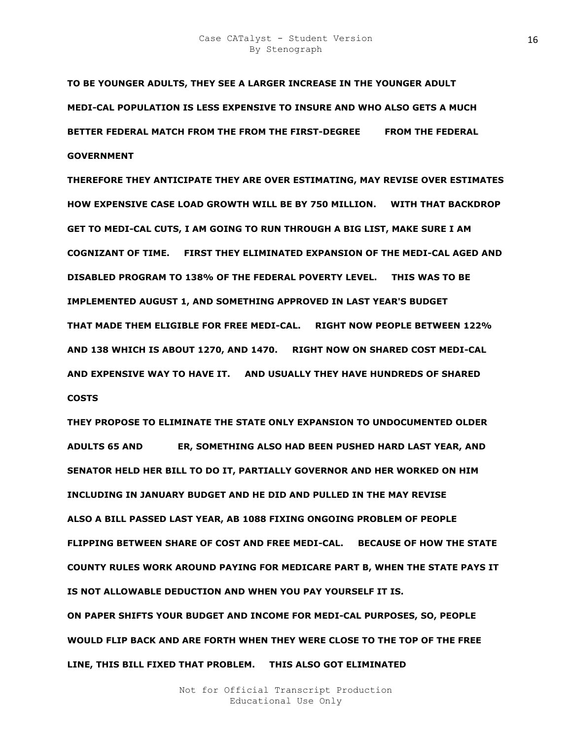**TO BE YOUNGER ADULTS, THEY SEE A LARGER INCREASE IN THE YOUNGER ADULT MEDI-CAL POPULATION IS LESS EXPENSIVE TO INSURE AND WHO ALSO GETS A MUCH BETTER FEDERAL MATCH FROM THE FROM THE FIRST-DEGREE RAL FROM THE FEDERAL GOVERNMENT** 

**THEREFORE THEY ANTICIPATE THEY ARE OVER ESTIMATING, MAY REVISE OVER ESTIMATES HOW EXPENSIVE CASE LOAD GROWTH WILL BE BY 750 MILLION. WITH THAT BACKDROP GET TO MEDI-CAL CUTS, I AM GOING TO RUN THROUGH A BIG LIST, MAKE SURE I AM COGNIZANT OF TIME. FIRST THEY ELIMINATED EXPANSION OF THE MEDI-CAL AGED AND DISABLED PROGRAM TO 138% OF THE FEDERAL POVERTY LEVEL. THIS WAS TO BE IMPLEMENTED AUGUST 1, AND SOMETHING APPROVED IN LAST YEAR'S BUDGET THAT MADE THEM ELIGIBLE FOR FREE MEDI-CAL. RIGHT NOW PEOPLE BETWEEN 122% AND 138 WHICH IS ABOUT 1270, AND 1470. RIGHT NOW ON SHARED COST MEDI-CAL AND EXPENSIVE WAY TO HAVE IT. AND USUALLY THEY HAVE HUNDREDS OF SHARED COSTS** 

**THEY PROPOSE TO ELIMINATE THE STATE ONLY EXPANSION TO UNDOCUMENTED OLDER ADULTS 65 AND #0E8DER, SOMETHING ALSO HAD BEEN PUSHED HARD LAST YEAR, AND SENATOR HELD HER BILL TO DO IT, PARTIALLY GOVERNOR AND HER WORKED ON HIM INCLUDING IN JANUARY BUDGET AND HE DID AND PULLED IN THE MAY REVISE ALSO A BILL PASSED LAST YEAR, AB 1088 FIXING ONGOING PROBLEM OF PEOPLE FLIPPING BETWEEN SHARE OF COST AND FREE MEDI-CAL. BECAUSE OF HOW THE STATE COUNTY RULES WORK AROUND PAYING FOR MEDICARE PART B, WHEN THE STATE PAYS IT IS NOT ALLOWABLE DEDUCTION AND WHEN YOU PAY YOURSELF IT IS. ON PAPER SHIFTS YOUR BUDGET AND INCOME FOR MEDI-CAL PURPOSES, SO, PEOPLE WOULD FLIP BACK AND ARE FORTH WHEN THEY WERE CLOSE TO THE TOP OF THE FREE LINE, THIS BILL FIXED THAT PROBLEM. THIS ALSO GOT ELIMINATED**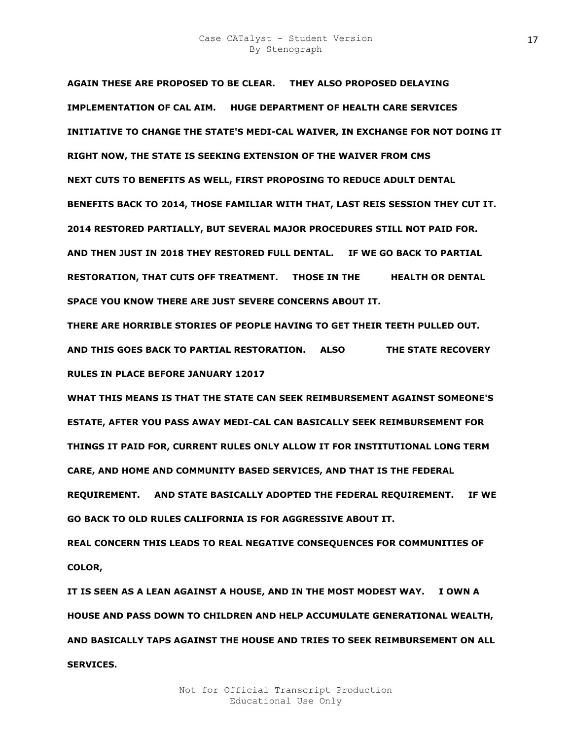**AGAIN THESE ARE PROPOSED TO BE CLEAR. THEY ALSO PROPOSED DELAYING IMPLEMENTATION OF CAL AIM. HUGE DEPARTMENT OF HEALTH CARE SERVICES INITIATIVE TO CHANGE THE STATE'S MEDI-CAL WAIVER, IN EXCHANGE FOR NOT DOING IT RIGHT NOW, THE STATE IS SEEKING EXTENSION OF THE WAIVER FROM CMS NEXT CUTS TO BENEFITS AS WELL, FIRST PROPOSING TO REDUCE ADULT DENTAL BENEFITS BACK TO 2014, THOSE FAMILIAR WITH THAT, LAST REIS SESSION THEY CUT IT. 2014 RESTORED PARTIALLY, BUT SEVERAL MAJOR PROCEDURES STILL NOT PAID FOR. AND THEN JUST IN 2018 THEY RESTORED FULL DENTAL. IF WE GO BACK TO PARTIAL RESTORATION, THAT CUTS OFF TREATMENT. THOSE IN THE HEALTH OR DENTAL SPACE YOU KNOW THERE ARE JUST SEVERE CONCERNS ABOUT IT.** 

**THERE ARE HORRIBLE STORIES OF PEOPLE HAVING TO GET THEIR TEETH PULLED OUT. AND THIS GOES BACK TO PARTIAL RESTORATION. ALSO PO POE THE STATE RECOVERY RULES IN PLACE BEFORE JANUARY 12017** 

**WHAT THIS MEANS IS THAT THE STATE CAN SEEK REIMBURSEMENT AGAINST SOMEONE'S ESTATE, AFTER YOU PASS AWAY MEDI-CAL CAN BASICALLY SEEK REIMBURSEMENT FOR THINGS IT PAID FOR, CURRENT RULES ONLY ALLOW IT FOR INSTITUTIONAL LONG TERM CARE, AND HOME AND COMMUNITY BASED SERVICES, AND THAT IS THE FEDERAL REQUIREMENT. AND STATE BASICALLY ADOPTED THE FEDERAL REQUIREMENT. IF WE GO BACK TO OLD RULES CALIFORNIA IS FOR AGGRESSIVE ABOUT IT.** 

**REAL CONCERN THIS LEADS TO REAL NEGATIVE CONSEQUENCES FOR COMMUNITIES OF COLOR,** 

**IT IS SEEN AS A LEAN AGAINST A HOUSE, AND IN THE MOST MODEST WAY. I OWN A HOUSE AND PASS DOWN TO CHILDREN AND HELP ACCUMULATE GENERATIONAL WEALTH, AND BASICALLY TAPS AGAINST THE HOUSE AND TRIES TO SEEK REIMBURSEMENT ON ALL SERVICES.**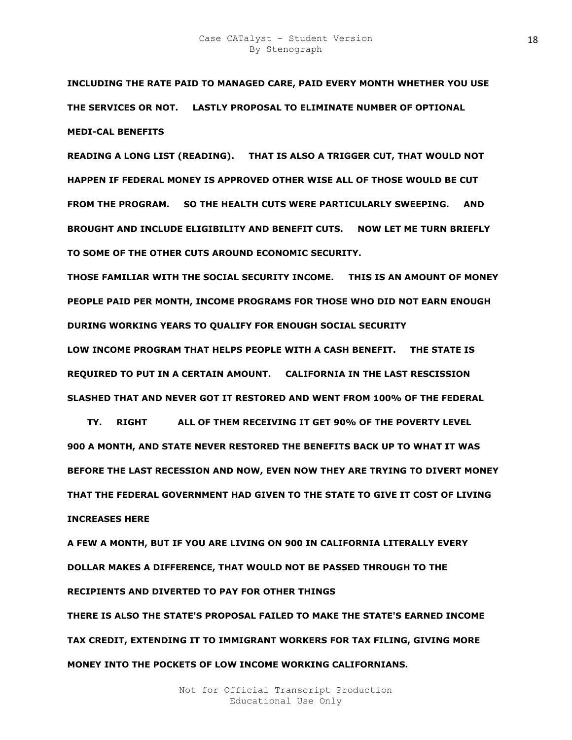**INCLUDING THE RATE PAID TO MANAGED CARE, PAID EVERY MONTH WHETHER YOU USE THE SERVICES OR NOT. LASTLY PROPOSAL TO ELIMINATE NUMBER OF OPTIONAL MEDI-CAL BENEFITS** 

**READING A LONG LIST (READING). THAT IS ALSO A TRIGGER CUT, THAT WOULD NOT HAPPEN IF FEDERAL MONEY IS APPROVED OTHER WISE ALL OF THOSE WOULD BE CUT FROM THE PROGRAM. SO THE HEALTH CUTS WERE PARTICULARLY SWEEPING. AND BROUGHT AND INCLUDE ELIGIBILITY AND BENEFIT CUTS. NOW LET ME TURN BRIEFLY TO SOME OF THE OTHER CUTS AROUND ECONOMIC SECURITY.** 

**THOSE FAMILIAR WITH THE SOCIAL SECURITY INCOME. THIS IS AN AMOUNT OF MONEY PEOPLE PAID PER MONTH, INCOME PROGRAMS FOR THOSE WHO DID NOT EARN ENOUGH DURING WORKING YEARS TO QUALIFY FOR ENOUGH SOCIAL SECURITY** 

**LOW INCOME PROGRAM THAT HELPS PEOPLE WITH A CASH BENEFIT. THE STATE IS REQUIRED TO PUT IN A CERTAIN AMOUNT. CALIFORNIA IN THE LAST RESCISSION SLASHED THAT AND NEVER GOT IT RESTORED AND WENT FROM 100% OF THE FEDERAL** 

**PORTY FIGHT ALL OF THEM RECEIVING IT GET 90% OF THE POVERTY LEVEL 900 A MONTH, AND STATE NEVER RESTORED THE BENEFITS BACK UP TO WHAT IT WAS BEFORE THE LAST RECESSION AND NOW, EVEN NOW THEY ARE TRYING TO DIVERT MONEY THAT THE FEDERAL GOVERNMENT HAD GIVEN TO THE STATE TO GIVE IT COST OF LIVING INCREASES HERE** 

**A FEW A MONTH, BUT IF YOU ARE LIVING ON 900 IN CALIFORNIA LITERALLY EVERY DOLLAR MAKES A DIFFERENCE, THAT WOULD NOT BE PASSED THROUGH TO THE RECIPIENTS AND DIVERTED TO PAY FOR OTHER THINGS THERE IS ALSO THE STATE'S PROPOSAL FAILED TO MAKE THE STATE'S EARNED INCOME** 

**TAX CREDIT, EXTENDING IT TO IMMIGRANT WORKERS FOR TAX FILING, GIVING MORE MONEY INTO THE POCKETS OF LOW INCOME WORKING CALIFORNIANS.**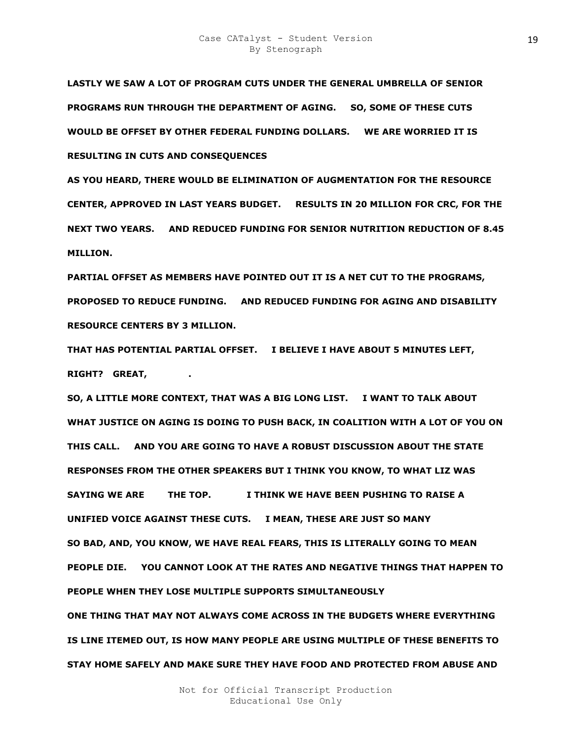**LASTLY WE SAW A LOT OF PROGRAM CUTS UNDER THE GENERAL UMBRELLA OF SENIOR PROGRAMS RUN THROUGH THE DEPARTMENT OF AGING. SO, SOME OF THESE CUTS WOULD BE OFFSET BY OTHER FEDERAL FUNDING DOLLARS. WE ARE WORRIED IT IS RESULTING IN CUTS AND CONSEQUENCES** 

**AS YOU HEARD, THERE WOULD BE ELIMINATION OF AUGMENTATION FOR THE RESOURCE CENTER, APPROVED IN LAST YEARS BUDGET. RESULTS IN 20 MILLION FOR CRC, FOR THE NEXT TWO YEARS. AND REDUCED FUNDING FOR SENIOR NUTRITION REDUCTION OF 8.45 MILLION.** 

**PARTIAL OFFSET AS MEMBERS HAVE POINTED OUT IT IS A NET CUT TO THE PROGRAMS, PROPOSED TO REDUCE FUNDING. AND REDUCED FUNDING FOR AGING AND DISABILITY RESOURCE CENTERS BY 3 MILLION.** 

**THAT HAS POTENTIAL PARTIAL OFFSET. I BELIEVE I HAVE ABOUT 5 MINUTES LEFT, RIGHT? GREAT,** 

**SO, A LITTLE MORE CONTEXT, THAT WAS A BIG LONG LIST. I WANT TO TALK ABOUT WHAT JUSTICE ON AGING IS DOING TO PUSH BACK, IN COALITION WITH A LOT OF YOU ON THIS CALL. AND YOU ARE GOING TO HAVE A ROBUST DISCUSSION ABOUT THE STATE RESPONSES FROM THE OTHER SPEAKERS BUT I THINK YOU KNOW, TO WHAT LIZ WAS SAYING WE ARE THE TOP. BEEN PUSHING TO RAISE A UNIFIED VOICE AGAINST THESE CUTS. I MEAN, THESE ARE JUST SO MANY SO BAD, AND, YOU KNOW, WE HAVE REAL FEARS, THIS IS LITERALLY GOING TO MEAN PEOPLE DIE. YOU CANNOT LOOK AT THE RATES AND NEGATIVE THINGS THAT HAPPEN TO PEOPLE WHEN THEY LOSE MULTIPLE SUPPORTS SIMULTANEOUSLY ONE THING THAT MAY NOT ALWAYS COME ACROSS IN THE BUDGETS WHERE EVERYTHING IS LINE ITEMED OUT, IS HOW MANY PEOPLE ARE USING MULTIPLE OF THESE BENEFITS TO STAY HOME SAFELY AND MAKE SURE THEY HAVE FOOD AND PROTECTED FROM ABUSE AND**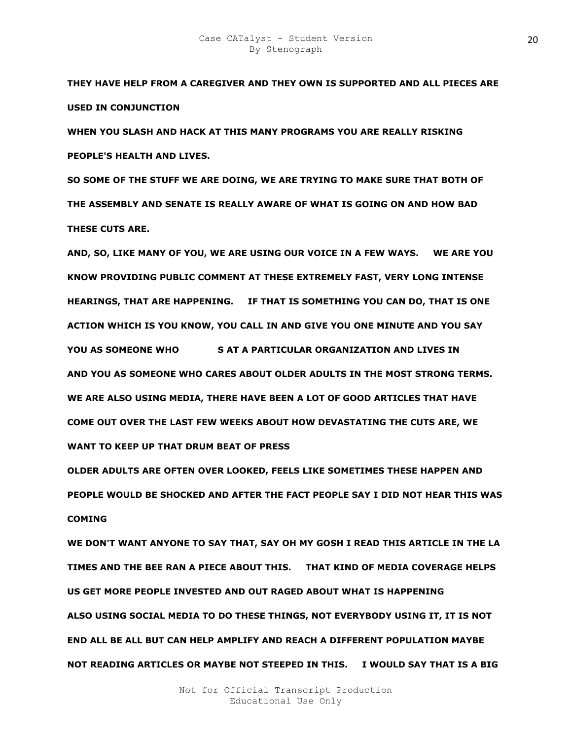**THEY HAVE HELP FROM A CAREGIVER AND THEY OWN IS SUPPORTED AND ALL PIECES ARE USED IN CONJUNCTION** 

**WHEN YOU SLASH AND HACK AT THIS MANY PROGRAMS YOU ARE REALLY RISKING PEOPLE'S HEALTH AND LIVES.** 

**SO SOME OF THE STUFF WE ARE DOING, WE ARE TRYING TO MAKE SURE THAT BOTH OF THE ASSEMBLY AND SENATE IS REALLY AWARE OF WHAT IS GOING ON AND HOW BAD THESE CUTS ARE.** 

**AND, SO, LIKE MANY OF YOU, WE ARE USING OUR VOICE IN A FEW WAYS. WE ARE YOU KNOW PROVIDING PUBLIC COMMENT AT THESE EXTREMELY FAST, VERY LONG INTENSE HEARINGS, THAT ARE HAPPENING. IF THAT IS SOMETHING YOU CAN DO, THAT IS ONE ACTION WHICH IS YOU KNOW, YOU CALL IN AND GIVE YOU ONE MINUTE AND YOU SAY YOU AS SOMEONE WHO SAT A PARTICULAR ORGANIZATION AND LIVES IN AND YOU AS SOMEONE WHO CARES ABOUT OLDER ADULTS IN THE MOST STRONG TERMS. WE ARE ALSO USING MEDIA, THERE HAVE BEEN A LOT OF GOOD ARTICLES THAT HAVE COME OUT OVER THE LAST FEW WEEKS ABOUT HOW DEVASTATING THE CUTS ARE, WE WANT TO KEEP UP THAT DRUM BEAT OF PRESS** 

**OLDER ADULTS ARE OFTEN OVER LOOKED, FEELS LIKE SOMETIMES THESE HAPPEN AND PEOPLE WOULD BE SHOCKED AND AFTER THE FACT PEOPLE SAY I DID NOT HEAR THIS WAS COMING** 

**WE DON'T WANT ANYONE TO SAY THAT, SAY OH MY GOSH I READ THIS ARTICLE IN THE LA TIMES AND THE BEE RAN A PIECE ABOUT THIS. THAT KIND OF MEDIA COVERAGE HELPS US GET MORE PEOPLE INVESTED AND OUT RAGED ABOUT WHAT IS HAPPENING ALSO USING SOCIAL MEDIA TO DO THESE THINGS, NOT EVERYBODY USING IT, IT IS NOT END ALL BE ALL BUT CAN HELP AMPLIFY AND REACH A DIFFERENT POPULATION MAYBE NOT READING ARTICLES OR MAYBE NOT STEEPED IN THIS. I WOULD SAY THAT IS A BIG**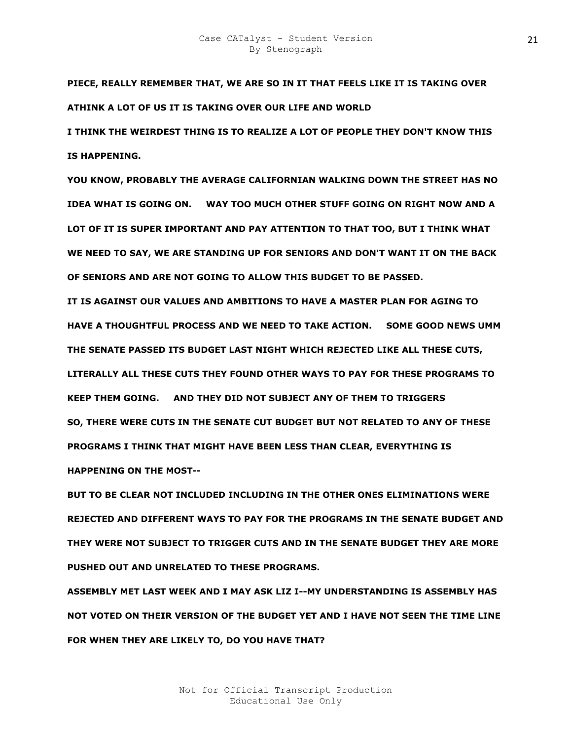**PIECE, REALLY REMEMBER THAT, WE ARE SO IN IT THAT FEELS LIKE IT IS TAKING OVER ATHINK A LOT OF US IT IS TAKING OVER OUR LIFE AND WORLD** 

**I THINK THE WEIRDEST THING IS TO REALIZE A LOT OF PEOPLE THEY DON'T KNOW THIS IS HAPPENING.** 

**YOU KNOW, PROBABLY THE AVERAGE CALIFORNIAN WALKING DOWN THE STREET HAS NO IDEA WHAT IS GOING ON. WAY TOO MUCH OTHER STUFF GOING ON RIGHT NOW AND A LOT OF IT IS SUPER IMPORTANT AND PAY ATTENTION TO THAT TOO, BUT I THINK WHAT WE NEED TO SAY, WE ARE STANDING UP FOR SENIORS AND DON'T WANT IT ON THE BACK OF SENIORS AND ARE NOT GOING TO ALLOW THIS BUDGET TO BE PASSED.** 

**IT IS AGAINST OUR VALUES AND AMBITIONS TO HAVE A MASTER PLAN FOR AGING TO HAVE A THOUGHTFUL PROCESS AND WE NEED TO TAKE ACTION. SOME GOOD NEWS UMM THE SENATE PASSED ITS BUDGET LAST NIGHT WHICH REJECTED LIKE ALL THESE CUTS, LITERALLY ALL THESE CUTS THEY FOUND OTHER WAYS TO PAY FOR THESE PROGRAMS TO KEEP THEM GOING. AND THEY DID NOT SUBJECT ANY OF THEM TO TRIGGERS SO, THERE WERE CUTS IN THE SENATE CUT BUDGET BUT NOT RELATED TO ANY OF THESE PROGRAMS I THINK THAT MIGHT HAVE BEEN LESS THAN CLEAR, EVERYTHING IS HAPPENING ON THE MOST--**

**BUT TO BE CLEAR NOT INCLUDED INCLUDING IN THE OTHER ONES ELIMINATIONS WERE REJECTED AND DIFFERENT WAYS TO PAY FOR THE PROGRAMS IN THE SENATE BUDGET AND THEY WERE NOT SUBJECT TO TRIGGER CUTS AND IN THE SENATE BUDGET THEY ARE MORE PUSHED OUT AND UNRELATED TO THESE PROGRAMS.** 

**ASSEMBLY MET LAST WEEK AND I MAY ASK LIZ I--MY UNDERSTANDING IS ASSEMBLY HAS NOT VOTED ON THEIR VERSION OF THE BUDGET YET AND I HAVE NOT SEEN THE TIME LINE FOR WHEN THEY ARE LIKELY TO, DO YOU HAVE THAT?**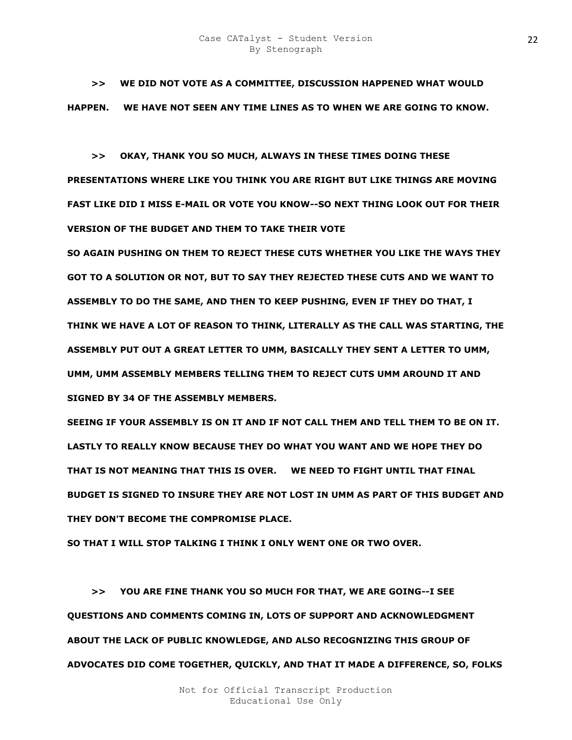**>> WE DID NOT VOTE AS A COMMITTEE, DISCUSSION HAPPENED WHAT WOULD HAPPEN. WE HAVE NOT SEEN ANY TIME LINES AS TO WHEN WE ARE GOING TO KNOW.** 

 **>> OKAY, THANK YOU SO MUCH, ALWAYS IN THESE TIMES DOING THESE PRESENTATIONS WHERE LIKE YOU THINK YOU ARE RIGHT BUT LIKE THINGS ARE MOVING FAST LIKE DID I MISS E-MAIL OR VOTE YOU KNOW--SO NEXT THING LOOK OUT FOR THEIR VERSION OF THE BUDGET AND THEM TO TAKE THEIR VOTE** 

**SO AGAIN PUSHING ON THEM TO REJECT THESE CUTS WHETHER YOU LIKE THE WAYS THEY GOT TO A SOLUTION OR NOT, BUT TO SAY THEY REJECTED THESE CUTS AND WE WANT TO ASSEMBLY TO DO THE SAME, AND THEN TO KEEP PUSHING, EVEN IF THEY DO THAT, I THINK WE HAVE A LOT OF REASON TO THINK, LITERALLY AS THE CALL WAS STARTING, THE ASSEMBLY PUT OUT A GREAT LETTER TO UMM, BASICALLY THEY SENT A LETTER TO UMM, UMM, UMM ASSEMBLY MEMBERS TELLING THEM TO REJECT CUTS UMM AROUND IT AND SIGNED BY 34 OF THE ASSEMBLY MEMBERS.** 

**SEEING IF YOUR ASSEMBLY IS ON IT AND IF NOT CALL THEM AND TELL THEM TO BE ON IT. LASTLY TO REALLY KNOW BECAUSE THEY DO WHAT YOU WANT AND WE HOPE THEY DO THAT IS NOT MEANING THAT THIS IS OVER. WE NEED TO FIGHT UNTIL THAT FINAL BUDGET IS SIGNED TO INSURE THEY ARE NOT LOST IN UMM AS PART OF THIS BUDGET AND THEY DON'T BECOME THE COMPROMISE PLACE.** 

**SO THAT I WILL STOP TALKING I THINK I ONLY WENT ONE OR TWO OVER.** 

 **>> YOU ARE FINE THANK YOU SO MUCH FOR THAT, WE ARE GOING--I SEE QUESTIONS AND COMMENTS COMING IN, LOTS OF SUPPORT AND ACKNOWLEDGMENT ABOUT THE LACK OF PUBLIC KNOWLEDGE, AND ALSO RECOGNIZING THIS GROUP OF ADVOCATES DID COME TOGETHER, QUICKLY, AND THAT IT MADE A DIFFERENCE, SO, FOLKS**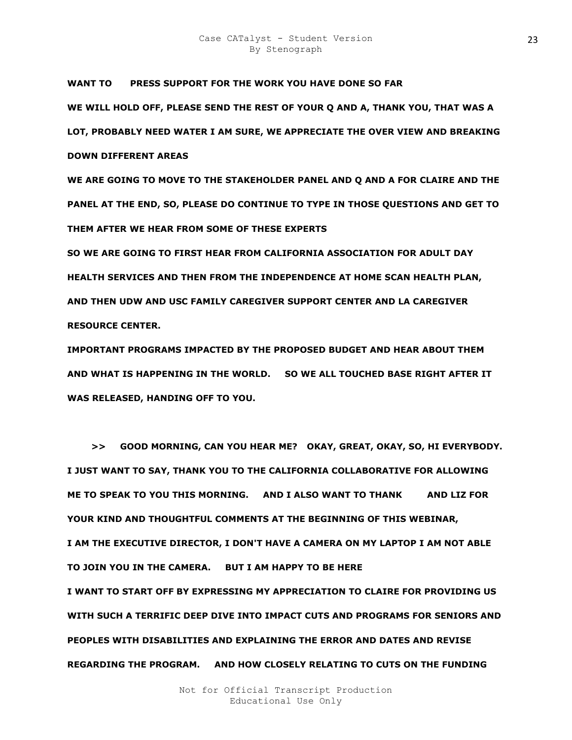**WANT TO KS PRESS SUPPORT FOR THE WORK YOU HAVE DONE SO FAR WE WILL HOLD OFF, PLEASE SEND THE REST OF YOUR Q AND A, THANK YOU, THAT WAS A LOT, PROBABLY NEED WATER I AM SURE, WE APPRECIATE THE OVER VIEW AND BREAKING DOWN DIFFERENT AREAS** 

**WE ARE GOING TO MOVE TO THE STAKEHOLDER PANEL AND Q AND A FOR CLAIRE AND THE PANEL AT THE END, SO, PLEASE DO CONTINUE TO TYPE IN THOSE QUESTIONS AND GET TO THEM AFTER WE HEAR FROM SOME OF THESE EXPERTS** 

**SO WE ARE GOING TO FIRST HEAR FROM CALIFORNIA ASSOCIATION FOR ADULT DAY HEALTH SERVICES AND THEN FROM THE INDEPENDENCE AT HOME SCAN HEALTH PLAN, AND THEN UDW AND USC FAMILY CAREGIVER SUPPORT CENTER AND LA CAREGIVER RESOURCE CENTER.** 

**IMPORTANT PROGRAMS IMPACTED BY THE PROPOSED BUDGET AND HEAR ABOUT THEM AND WHAT IS HAPPENING IN THE WORLD. SO WE ALL TOUCHED BASE RIGHT AFTER IT WAS RELEASED, HANDING OFF TO YOU.** 

 **>> GOOD MORNING, CAN YOU HEAR ME? OKAY, GREAT, OKAY, SO, HI EVERYBODY. I JUST WANT TO SAY, THANK YOU TO THE CALIFORNIA COLLABORATIVE FOR ALLOWING ME TO SPEAK TO YOU THIS MORNING. AND I ALSO WANT TO THANK KIM AND LIZ FOR YOUR KIND AND THOUGHTFUL COMMENTS AT THE BEGINNING OF THIS WEBINAR, I AM THE EXECUTIVE DIRECTOR, I DON'T HAVE A CAMERA ON MY LAPTOP I AM NOT ABLE TO JOIN YOU IN THE CAMERA. BUT I AM HAPPY TO BE HERE I WANT TO START OFF BY EXPRESSING MY APPRECIATION TO CLAIRE FOR PROVIDING US WITH SUCH A TERRIFIC DEEP DIVE INTO IMPACT CUTS AND PROGRAMS FOR SENIORS AND PEOPLES WITH DISABILITIES AND EXPLAINING THE ERROR AND DATES AND REVISE REGARDING THE PROGRAM. AND HOW CLOSELY RELATING TO CUTS ON THE FUNDING**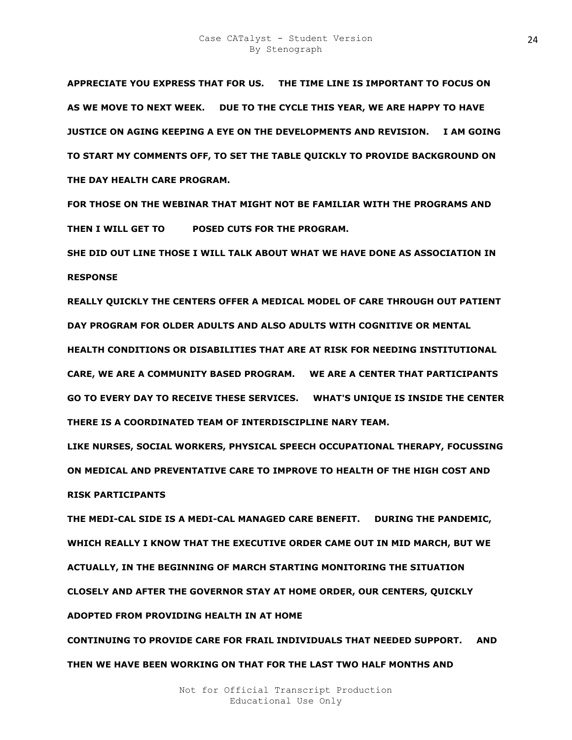**APPRECIATE YOU EXPRESS THAT FOR US. THE TIME LINE IS IMPORTANT TO FOCUS ON AS WE MOVE TO NEXT WEEK. DUE TO THE CYCLE THIS YEAR, WE ARE HAPPY TO HAVE JUSTICE ON AGING KEEPING A EYE ON THE DEVELOPMENTS AND REVISION. I AM GOING TO START MY COMMENTS OFF, TO SET THE TABLE QUICKLY TO PROVIDE BACKGROUND ON THE DAY HEALTH CARE PROGRAM.** 

**FOR THOSE ON THE WEBINAR THAT MIGHT NOT BE FAMILIAR WITH THE PROGRAMS AND THEN I WILL GET TO MRO POSED CUTS FOR THE PROGRAM.** 

**SHE DID OUT LINE THOSE I WILL TALK ABOUT WHAT WE HAVE DONE AS ASSOCIATION IN RESPONSE** 

**REALLY QUICKLY THE CENTERS OFFER A MEDICAL MODEL OF CARE THROUGH OUT PATIENT DAY PROGRAM FOR OLDER ADULTS AND ALSO ADULTS WITH COGNITIVE OR MENTAL** 

**HEALTH CONDITIONS OR DISABILITIES THAT ARE AT RISK FOR NEEDING INSTITUTIONAL CARE, WE ARE A COMMUNITY BASED PROGRAM. WE ARE A CENTER THAT PARTICIPANTS GO TO EVERY DAY TO RECEIVE THESE SERVICES. WHAT'S UNIQUE IS INSIDE THE CENTER THERE IS A COORDINATED TEAM OF INTERDISCIPLINE NARY TEAM.** 

**LIKE NURSES, SOCIAL WORKERS, PHYSICAL SPEECH OCCUPATIONAL THERAPY, FOCUSSING ON MEDICAL AND PREVENTATIVE CARE TO IMPROVE TO HEALTH OF THE HIGH COST AND RISK PARTICIPANTS** 

**THE MEDI-CAL SIDE IS A MEDI-CAL MANAGED CARE BENEFIT. DURING THE PANDEMIC, WHICH REALLY I KNOW THAT THE EXECUTIVE ORDER CAME OUT IN MID MARCH, BUT WE ACTUALLY, IN THE BEGINNING OF MARCH STARTING MONITORING THE SITUATION CLOSELY AND AFTER THE GOVERNOR STAY AT HOME ORDER, OUR CENTERS, QUICKLY ADOPTED FROM PROVIDING HEALTH IN AT HOME** 

**CONTINUING TO PROVIDE CARE FOR FRAIL INDIVIDUALS THAT NEEDED SUPPORT. AND THEN WE HAVE BEEN WORKING ON THAT FOR THE LAST TWO HALF MONTHS AND**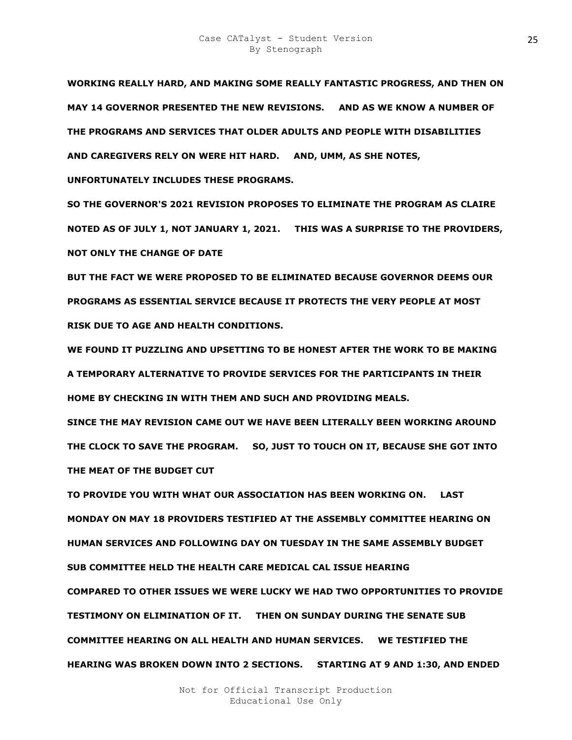**WORKING REALLY HARD, AND MAKING SOME REALLY FANTASTIC PROGRESS, AND THEN ON MAY 14 GOVERNOR PRESENTED THE NEW REVISIONS. AND AS WE KNOW A NUMBER OF THE PROGRAMS AND SERVICES THAT OLDER ADULTS AND PEOPLE WITH DISABILITIES AND CAREGIVERS RELY ON WERE HIT HARD. AND, UMM, AS SHE NOTES,** 

**UNFORTUNATELY INCLUDES THESE PROGRAMS.** 

**SO THE GOVERNOR'S 2021 REVISION PROPOSES TO ELIMINATE THE PROGRAM AS CLAIRE NOTED AS OF JULY 1, NOT JANUARY 1, 2021. THIS WAS A SURPRISE TO THE PROVIDERS, NOT ONLY THE CHANGE OF DATE** 

**BUT THE FACT WE WERE PROPOSED TO BE ELIMINATED BECAUSE GOVERNOR DEEMS OUR PROGRAMS AS ESSENTIAL SERVICE BECAUSE IT PROTECTS THE VERY PEOPLE AT MOST RISK DUE TO AGE AND HEALTH CONDITIONS.** 

**WE FOUND IT PUZZLING AND UPSETTING TO BE HONEST AFTER THE WORK TO BE MAKING A TEMPORARY ALTERNATIVE TO PROVIDE SERVICES FOR THE PARTICIPANTS IN THEIR HOME BY CHECKING IN WITH THEM AND SUCH AND PROVIDING MEALS.** 

**SINCE THE MAY REVISION CAME OUT WE HAVE BEEN LITERALLY BEEN WORKING AROUND THE CLOCK TO SAVE THE PROGRAM. SO, JUST TO TOUCH ON IT, BECAUSE SHE GOT INTO THE MEAT OF THE BUDGET CUT** 

**TO PROVIDE YOU WITH WHAT OUR ASSOCIATION HAS BEEN WORKING ON. LAST MONDAY ON MAY 18 PROVIDERS TESTIFIED AT THE ASSEMBLY COMMITTEE HEARING ON HUMAN SERVICES AND FOLLOWING DAY ON TUESDAY IN THE SAME ASSEMBLY BUDGET SUB COMMITTEE HELD THE HEALTH CARE MEDICAL CAL ISSUE HEARING COMPARED TO OTHER ISSUES WE WERE LUCKY WE HAD TWO OPPORTUNITIES TO PROVIDE TESTIMONY ON ELIMINATION OF IT. THEN ON SUNDAY DURING THE SENATE SUB COMMITTEE HEARING ON ALL HEALTH AND HUMAN SERVICES. WE TESTIFIED THE HEARING WAS BROKEN DOWN INTO 2 SECTIONS. STARTING AT 9 AND 1:30, AND ENDED**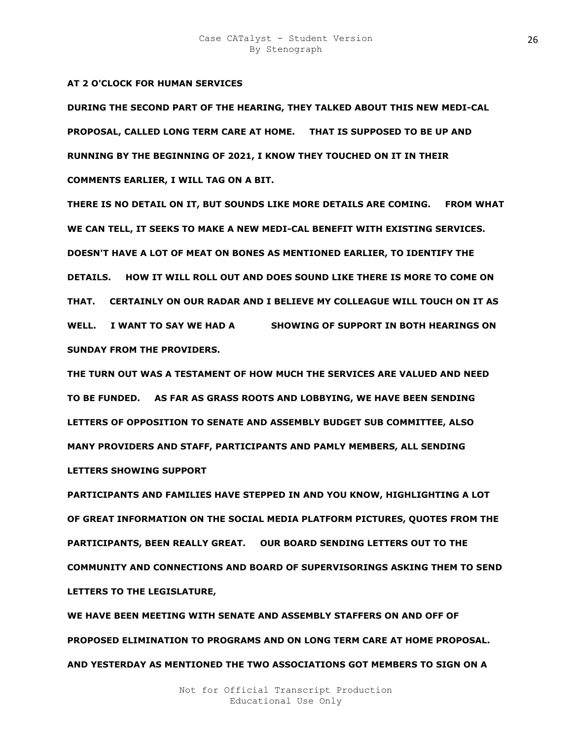### **AT 2 O'CLOCK FOR HUMAN SERVICES**

**DURING THE SECOND PART OF THE HEARING, THEY TALKED ABOUT THIS NEW MEDI-CAL PROPOSAL, CALLED LONG TERM CARE AT HOME. THAT IS SUPPOSED TO BE UP AND RUNNING BY THE BEGINNING OF 2021, I KNOW THEY TOUCHED ON IT IN THEIR COMMENTS EARLIER, I WILL TAG ON A BIT.** 

**THERE IS NO DETAIL ON IT, BUT SOUNDS LIKE MORE DETAILS ARE COMING. FROM WHAT WE CAN TELL, IT SEEKS TO MAKE A NEW MEDI-CAL BENEFIT WITH EXISTING SERVICES. DOESN'T HAVE A LOT OF MEAT ON BONES AS MENTIONED EARLIER, TO IDENTIFY THE DETAILS. HOW IT WILL ROLL OUT AND DOES SOUND LIKE THERE IS MORE TO COME ON THAT. CERTAINLY ON OUR RADAR AND I BELIEVE MY COLLEAGUE WILL TOUCH ON IT AS**  WELL. I WANT TO SAY WE HAD A SHOWING OF SUPPORT IN BOTH HEARINGS ON **SUNDAY FROM THE PROVIDERS.** 

**THE TURN OUT WAS A TESTAMENT OF HOW MUCH THE SERVICES ARE VALUED AND NEED TO BE FUNDED. AS FAR AS GRASS ROOTS AND LOBBYING, WE HAVE BEEN SENDING LETTERS OF OPPOSITION TO SENATE AND ASSEMBLY BUDGET SUB COMMITTEE, ALSO MANY PROVIDERS AND STAFF, PARTICIPANTS AND PAMLY MEMBERS, ALL SENDING LETTERS SHOWING SUPPORT** 

**PARTICIPANTS AND FAMILIES HAVE STEPPED IN AND YOU KNOW, HIGHLIGHTING A LOT OF GREAT INFORMATION ON THE SOCIAL MEDIA PLATFORM PICTURES, QUOTES FROM THE PARTICIPANTS, BEEN REALLY GREAT. OUR BOARD SENDING LETTERS OUT TO THE COMMUNITY AND CONNECTIONS AND BOARD OF SUPERVISORINGS ASKING THEM TO SEND LETTERS TO THE LEGISLATURE,** 

**WE HAVE BEEN MEETING WITH SENATE AND ASSEMBLY STAFFERS ON AND OFF OF PROPOSED ELIMINATION TO PROGRAMS AND ON LONG TERM CARE AT HOME PROPOSAL. AND YESTERDAY AS MENTIONED THE TWO ASSOCIATIONS GOT MEMBERS TO SIGN ON A**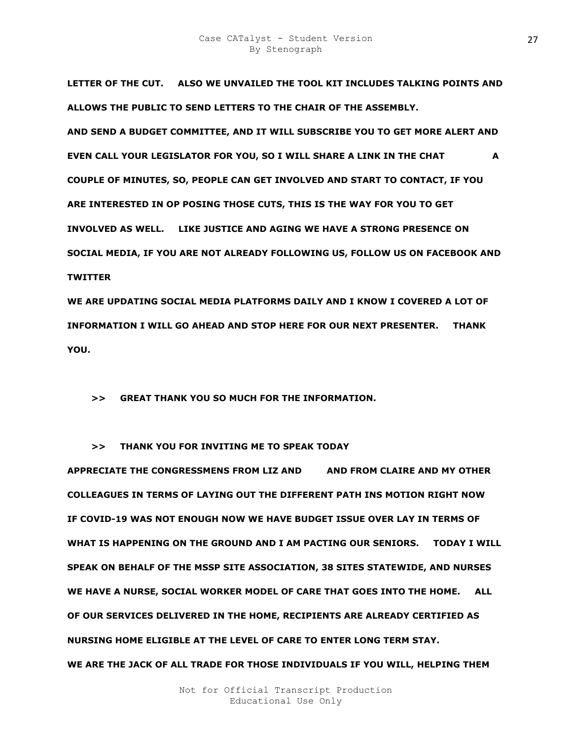**LETTER OF THE CUT. ALSO WE UNVAILED THE TOOL KIT INCLUDES TALKING POINTS AND ALLOWS THE PUBLIC TO SEND LETTERS TO THE CHAIR OF THE ASSEMBLY. AND SEND A BUDGET COMMITTEE, AND IT WILL SUBSCRIBE YOU TO GET MORE ALERT AND EVEN CALL YOUR LEGISLATOR FOR YOU, SO I WILL SHARE A LINK IN THE CHAT A A COUPLE OF MINUTES, SO, PEOPLE CAN GET INVOLVED AND START TO CONTACT, IF YOU ARE INTERESTED IN OP POSING THOSE CUTS, THIS IS THE WAY FOR YOU TO GET INVOLVED AS WELL. LIKE JUSTICE AND AGING WE HAVE A STRONG PRESENCE ON SOCIAL MEDIA, IF YOU ARE NOT ALREADY FOLLOWING US, FOLLOW US ON FACEBOOK AND TWITTER** 

**WE ARE UPDATING SOCIAL MEDIA PLATFORMS DAILY AND I KNOW I COVERED A LOT OF INFORMATION I WILL GO AHEAD AND STOP HERE FOR OUR NEXT PRESENTER. THANK YOU.** 

 **>> GREAT THANK YOU SO MUCH FOR THE INFORMATION.** 

 **>> THANK YOU FOR INVITING ME TO SPEAK TODAY** 

**APPRECIATE THE CONGRESSMENS FROM LIZ AND KIM AND FROM CLAIRE AND MY OTHER COLLEAGUES IN TERMS OF LAYING OUT THE DIFFERENT PATH INS MOTION RIGHT NOW IF COVID-19 WAS NOT ENOUGH NOW WE HAVE BUDGET ISSUE OVER LAY IN TERMS OF WHAT IS HAPPENING ON THE GROUND AND I AM PACTING OUR SENIORS. TODAY I WILL SPEAK ON BEHALF OF THE MSSP SITE ASSOCIATION, 38 SITES STATEWIDE, AND NURSES WE HAVE A NURSE, SOCIAL WORKER MODEL OF CARE THAT GOES INTO THE HOME. ALL OF OUR SERVICES DELIVERED IN THE HOME, RECIPIENTS ARE ALREADY CERTIFIED AS NURSING HOME ELIGIBLE AT THE LEVEL OF CARE TO ENTER LONG TERM STAY. WE ARE THE JACK OF ALL TRADE FOR THOSE INDIVIDUALS IF YOU WILL, HELPING THEM**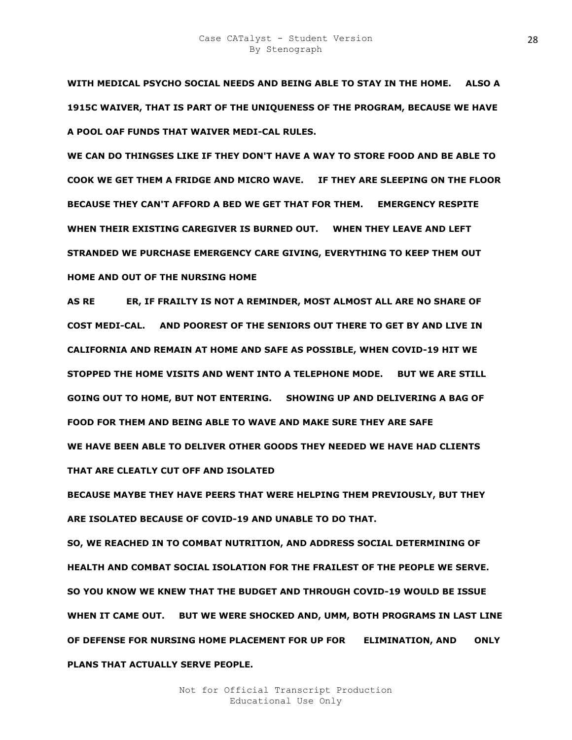**WITH MEDICAL PSYCHO SOCIAL NEEDS AND BEING ABLE TO STAY IN THE HOME. ALSO A 1915C WAIVER, THAT IS PART OF THE UNIQUENESS OF THE PROGRAM, BECAUSE WE HAVE A POOL OAF FUNDS THAT WAIVER MEDI-CAL RULES.** 

**WE CAN DO THINGSES LIKE IF THEY DON'T HAVE A WAY TO STORE FOOD AND BE ABLE TO COOK WE GET THEM A FRIDGE AND MICRO WAVE. IF THEY ARE SLEEPING ON THE FLOOR BECAUSE THEY CAN'T AFFORD A BED WE GET THAT FOR THEM. EMERGENCY RESPITE WHEN THEIR EXISTING CAREGIVER IS BURNED OUT. WHEN THEY LEAVE AND LEFT STRANDED WE PURCHASE EMERGENCY CARE GIVING, EVERYTHING TO KEEP THEM OUT HOME AND OUT OF THE NURSING HOME** 

AS RE**NIEPPER, IF FRAILTY IS NOT A REMINDER, MOST ALMOST ALL ARE NO SHARE OF COST MEDI-CAL. AND POOREST OF THE SENIORS OUT THERE TO GET BY AND LIVE IN CALIFORNIA AND REMAIN AT HOME AND SAFE AS POSSIBLE, WHEN COVID-19 HIT WE STOPPED THE HOME VISITS AND WENT INTO A TELEPHONE MODE. BUT WE ARE STILL GOING OUT TO HOME, BUT NOT ENTERING. SHOWING UP AND DELIVERING A BAG OF FOOD FOR THEM AND BEING ABLE TO WAVE AND MAKE SURE THEY ARE SAFE WE HAVE BEEN ABLE TO DELIVER OTHER GOODS THEY NEEDED WE HAVE HAD CLIENTS THAT ARE CLEATLY CUT OFF AND ISOLATED** 

**BECAUSE MAYBE THEY HAVE PEERS THAT WERE HELPING THEM PREVIOUSLY, BUT THEY ARE ISOLATED BECAUSE OF COVID-19 AND UNABLE TO DO THAT.** 

**SO, WE REACHED IN TO COMBAT NUTRITION, AND ADDRESS SOCIAL DETERMINING OF HEALTH AND COMBAT SOCIAL ISOLATION FOR THE FRAILEST OF THE PEOPLE WE SERVE. SO YOU KNOW WE KNEW THAT THE BUDGET AND THROUGH COVID-19 WOULD BE ISSUE WHEN IT CAME OUT. BUT WE WERE SHOCKED AND, UMM, BOTH PROGRAMS IN LAST LINE OF DEFENSE FOR NURSING HOME PLACEMENT FOR UP FOR FELIMINATION, AND ONLY PLANS THAT ACTUALLY SERVE PEOPLE.**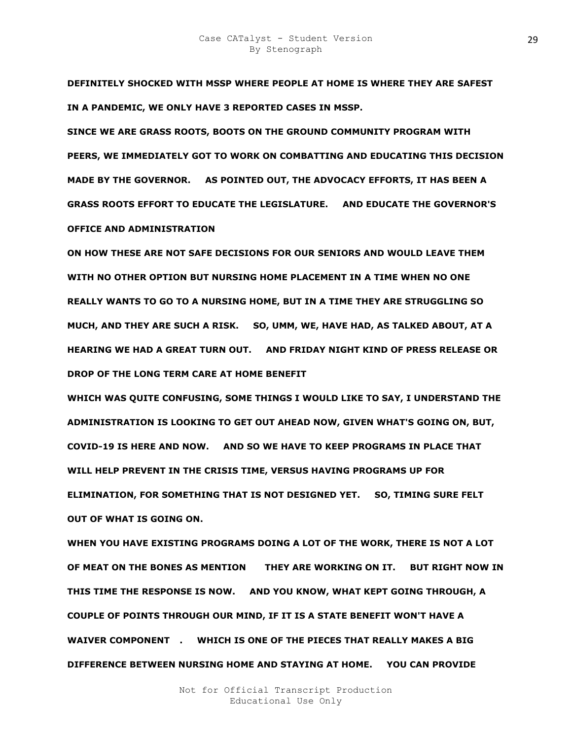**DEFINITELY SHOCKED WITH MSSP WHERE PEOPLE AT HOME IS WHERE THEY ARE SAFEST IN A PANDEMIC, WE ONLY HAVE 3 REPORTED CASES IN MSSP.** 

**SINCE WE ARE GRASS ROOTS, BOOTS ON THE GROUND COMMUNITY PROGRAM WITH PEERS, WE IMMEDIATELY GOT TO WORK ON COMBATTING AND EDUCATING THIS DECISION MADE BY THE GOVERNOR. AS POINTED OUT, THE ADVOCACY EFFORTS, IT HAS BEEN A GRASS ROOTS EFFORT TO EDUCATE THE LEGISLATURE. AND EDUCATE THE GOVERNOR'S OFFICE AND ADMINISTRATION** 

**ON HOW THESE ARE NOT SAFE DECISIONS FOR OUR SENIORS AND WOULD LEAVE THEM WITH NO OTHER OPTION BUT NURSING HOME PLACEMENT IN A TIME WHEN NO ONE REALLY WANTS TO GO TO A NURSING HOME, BUT IN A TIME THEY ARE STRUGGLING SO MUCH, AND THEY ARE SUCH A RISK. SO, UMM, WE, HAVE HAD, AS TALKED ABOUT, AT A HEARING WE HAD A GREAT TURN OUT. AND FRIDAY NIGHT KIND OF PRESS RELEASE OR DROP OF THE LONG TERM CARE AT HOME BENEFIT** 

**WHICH WAS QUITE CONFUSING, SOME THINGS I WOULD LIKE TO SAY, I UNDERSTAND THE ADMINISTRATION IS LOOKING TO GET OUT AHEAD NOW, GIVEN WHAT'S GOING ON, BUT, COVID-19 IS HERE AND NOW. AND SO WE HAVE TO KEEP PROGRAMS IN PLACE THAT WILL HELP PREVENT IN THE CRISIS TIME, VERSUS HAVING PROGRAMS UP FOR ELIMINATION, FOR SOMETHING THAT IS NOT DESIGNED YET. SO, TIMING SURE FELT OUT OF WHAT IS GOING ON.** 

**WHEN YOU HAVE EXISTING PROGRAMS DOING A LOT OF THE WORK, THERE IS NOT A LOT** OF MEAT ON THE BONES AS MENTION THEY ARE WORKING ON IT. BUT RIGHT NOW IN **THIS TIME THE RESPONSE IS NOW. AND YOU KNOW, WHAT KEPT GOING THROUGH, A COUPLE OF POINTS THROUGH OUR MIND, IF IT IS A STATE BENEFIT WON'T HAVE A**  WAIVER COMPONENT . WHICH IS ONE OF THE PIECES THAT REALLY MAKES A BIG **DIFFERENCE BETWEEN NURSING HOME AND STAYING AT HOME. YOU CAN PROVIDE**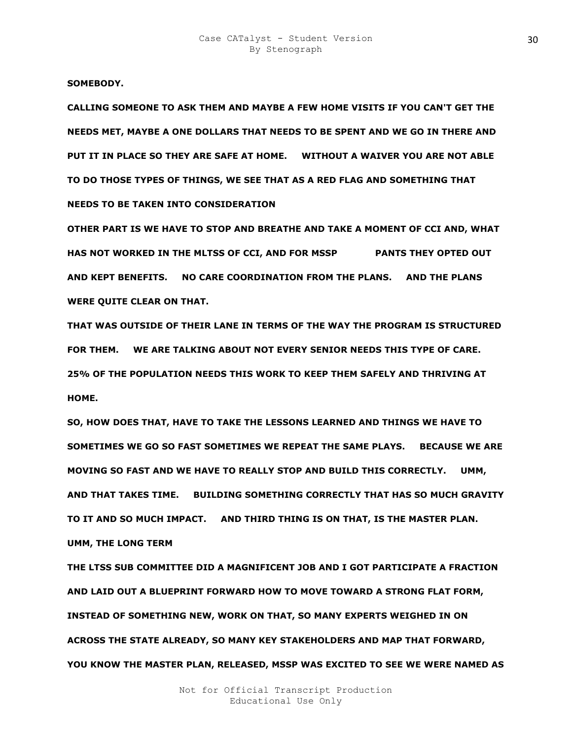**SOMEBODY.** 

**CALLING SOMEONE TO ASK THEM AND MAYBE A FEW HOME VISITS IF YOU CAN'T GET THE NEEDS MET, MAYBE A ONE DOLLARS THAT NEEDS TO BE SPENT AND WE GO IN THERE AND PUT IT IN PLACE SO THEY ARE SAFE AT HOME. WITHOUT A WAIVER YOU ARE NOT ABLE TO DO THOSE TYPES OF THINGS, WE SEE THAT AS A RED FLAG AND SOMETHING THAT NEEDS TO BE TAKEN INTO CONSIDERATION** 

**OTHER PART IS WE HAVE TO STOP AND BREATHE AND TAKE A MOMENT OF CCI AND, WHAT HAS NOT WORKED IN THE MLTSS OF CCI, AND FOR MSSP PR TIS PANTS THEY OPTED OUT AND KEPT BENEFITS. NO CARE COORDINATION FROM THE PLANS. AND THE PLANS WERE QUITE CLEAR ON THAT.** 

**THAT WAS OUTSIDE OF THEIR LANE IN TERMS OF THE WAY THE PROGRAM IS STRUCTURED FOR THEM. WE ARE TALKING ABOUT NOT EVERY SENIOR NEEDS THIS TYPE OF CARE. 25% OF THE POPULATION NEEDS THIS WORK TO KEEP THEM SAFELY AND THRIVING AT HOME.** 

**SO, HOW DOES THAT, HAVE TO TAKE THE LESSONS LEARNED AND THINGS WE HAVE TO SOMETIMES WE GO SO FAST SOMETIMES WE REPEAT THE SAME PLAYS. BECAUSE WE ARE MOVING SO FAST AND WE HAVE TO REALLY STOP AND BUILD THIS CORRECTLY. UMM, AND THAT TAKES TIME. BUILDING SOMETHING CORRECTLY THAT HAS SO MUCH GRAVITY TO IT AND SO MUCH IMPACT. AND THIRD THING IS ON THAT, IS THE MASTER PLAN. UMM, THE LONG TERM** 

**THE LTSS SUB COMMITTEE DID A MAGNIFICENT JOB AND I GOT PARTICIPATE A FRACTION AND LAID OUT A BLUEPRINT FORWARD HOW TO MOVE TOWARD A STRONG FLAT FORM, INSTEAD OF SOMETHING NEW, WORK ON THAT, SO MANY EXPERTS WEIGHED IN ON ACROSS THE STATE ALREADY, SO MANY KEY STAKEHOLDERS AND MAP THAT FORWARD, YOU KNOW THE MASTER PLAN, RELEASED, MSSP WAS EXCITED TO SEE WE WERE NAMED AS**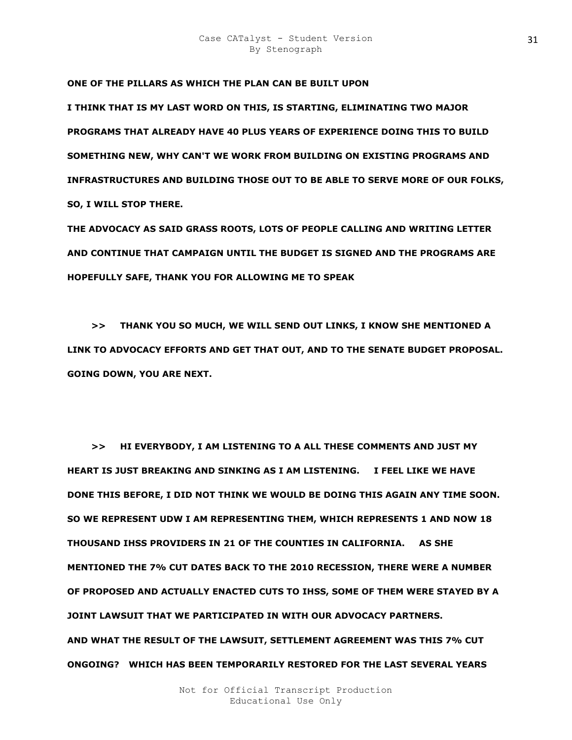**ONE OF THE PILLARS AS WHICH THE PLAN CAN BE BUILT UPON** 

**I THINK THAT IS MY LAST WORD ON THIS, IS STARTING, ELIMINATING TWO MAJOR PROGRAMS THAT ALREADY HAVE 40 PLUS YEARS OF EXPERIENCE DOING THIS TO BUILD SOMETHING NEW, WHY CAN'T WE WORK FROM BUILDING ON EXISTING PROGRAMS AND INFRASTRUCTURES AND BUILDING THOSE OUT TO BE ABLE TO SERVE MORE OF OUR FOLKS, SO, I WILL STOP THERE.** 

**THE ADVOCACY AS SAID GRASS ROOTS, LOTS OF PEOPLE CALLING AND WRITING LETTER AND CONTINUE THAT CAMPAIGN UNTIL THE BUDGET IS SIGNED AND THE PROGRAMS ARE HOPEFULLY SAFE, THANK YOU FOR ALLOWING ME TO SPEAK** 

 **>> THANK YOU SO MUCH, WE WILL SEND OUT LINKS, I KNOW SHE MENTIONED A LINK TO ADVOCACY EFFORTS AND GET THAT OUT, AND TO THE SENATE BUDGET PROPOSAL. GOING DOWN, YOU ARE NEXT.** 

 **>> HI EVERYBODY, I AM LISTENING TO A ALL THESE COMMENTS AND JUST MY HEART IS JUST BREAKING AND SINKING AS I AM LISTENING. I FEEL LIKE WE HAVE DONE THIS BEFORE, I DID NOT THINK WE WOULD BE DOING THIS AGAIN ANY TIME SOON. SO WE REPRESENT UDW I AM REPRESENTING THEM, WHICH REPRESENTS 1 AND NOW 18 THOUSAND IHSS PROVIDERS IN 21 OF THE COUNTIES IN CALIFORNIA. AS SHE MENTIONED THE 7% CUT DATES BACK TO THE 2010 RECESSION, THERE WERE A NUMBER OF PROPOSED AND ACTUALLY ENACTED CUTS TO IHSS, SOME OF THEM WERE STAYED BY A JOINT LAWSUIT THAT WE PARTICIPATED IN WITH OUR ADVOCACY PARTNERS. AND WHAT THE RESULT OF THE LAWSUIT, SETTLEMENT AGREEMENT WAS THIS 7% CUT ONGOING? WHICH HAS BEEN TEMPORARILY RESTORED FOR THE LAST SEVERAL YEARS**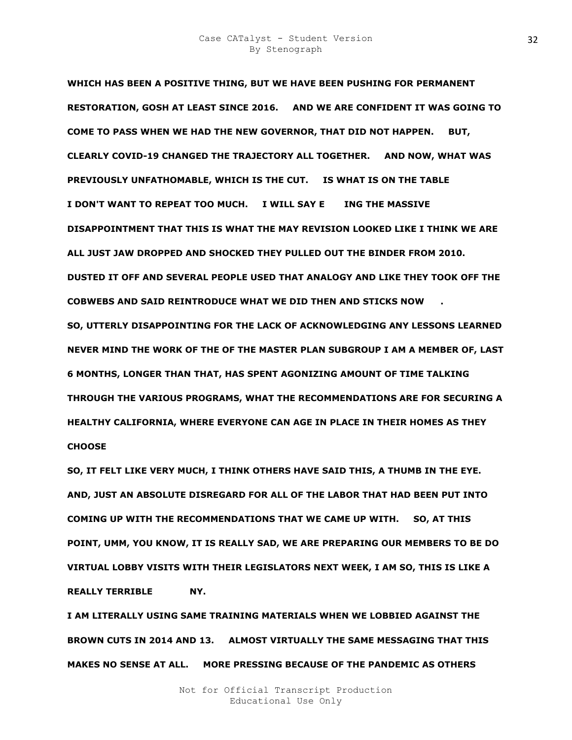**WHICH HAS BEEN A POSITIVE THING, BUT WE HAVE BEEN PUSHING FOR PERMANENT RESTORATION, GOSH AT LEAST SINCE 2016. AND WE ARE CONFIDENT IT WAS GOING TO COME TO PASS WHEN WE HAD THE NEW GOVERNOR, THAT DID NOT HAPPEN. BUT, CLEARLY COVID-19 CHANGED THE TRAJECTORY ALL TOGETHER. AND NOW, WHAT WAS PREVIOUSLY UNFATHOMABLE, WHICH IS THE CUT. IS WHAT IS ON THE TABLE I DON'T WANT TO REPEAT TOO MUCH. I WILL SAY EKOEING THE MASSIVE DISAPPOINTMENT THAT THIS IS WHAT THE MAY REVISION LOOKED LIKE I THINK WE ARE ALL JUST JAW DROPPED AND SHOCKED THEY PULLED OUT THE BINDER FROM 2010. DUSTED IT OFF AND SEVERAL PEOPLE USED THAT ANALOGY AND LIKE THEY TOOK OFF THE COBWEBS AND SAID REINTRODUCE WHAT WE DID THEN AND STICKS NOW CH. SO, UTTERLY DISAPPOINTING FOR THE LACK OF ACKNOWLEDGING ANY LESSONS LEARNED NEVER MIND THE WORK OF THE OF THE MASTER PLAN SUBGROUP I AM A MEMBER OF, LAST 6 MONTHS, LONGER THAN THAT, HAS SPENT AGONIZING AMOUNT OF TIME TALKING THROUGH THE VARIOUS PROGRAMS, WHAT THE RECOMMENDATIONS ARE FOR SECURING A HEALTHY CALIFORNIA, WHERE EVERYONE CAN AGE IN PLACE IN THEIR HOMES AS THEY CHOOSE** 

**SO, IT FELT LIKE VERY MUCH, I THINK OTHERS HAVE SAID THIS, A THUMB IN THE EYE. AND, JUST AN ABSOLUTE DISREGARD FOR ALL OF THE LABOR THAT HAD BEEN PUT INTO COMING UP WITH THE RECOMMENDATIONS THAT WE CAME UP WITH. SO, AT THIS POINT, UMM, YOU KNOW, IT IS REALLY SAD, WE ARE PREPARING OUR MEMBERS TO BE DO VIRTUAL LOBBY VISITS WITH THEIR LEGISLATORS NEXT WEEK, I AM SO, THIS IS LIKE A REALLY TERRIBLE MY.** 

**I AM LITERALLY USING SAME TRAINING MATERIALS WHEN WE LOBBIED AGAINST THE BROWN CUTS IN 2014 AND 13. ALMOST VIRTUALLY THE SAME MESSAGING THAT THIS MAKES NO SENSE AT ALL. MORE PRESSING BECAUSE OF THE PANDEMIC AS OTHERS**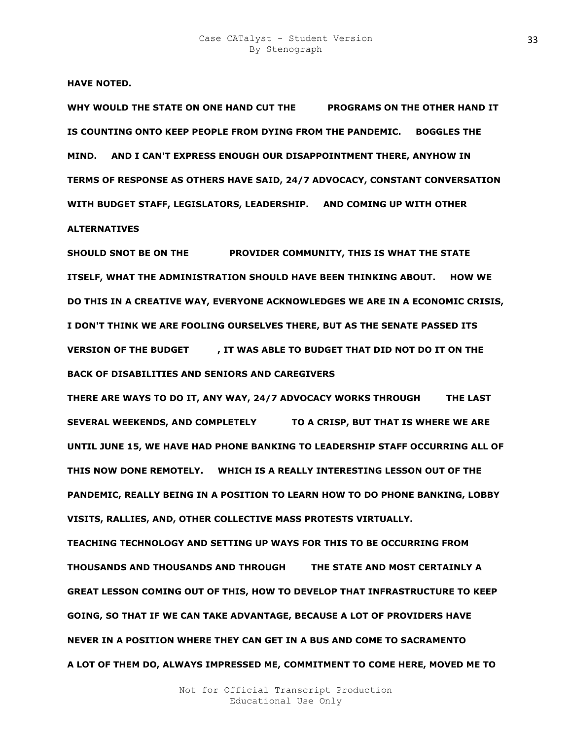**HAVE NOTED.** 

WHY WOULD THE STATE ON ONE HAND CUT THE PROGRAMS ON THE OTHER HAND IT **IS COUNTING ONTO KEEP PEOPLE FROM DYING FROM THE PANDEMIC. BOGGLES THE MIND. AND I CAN'T EXPRESS ENOUGH OUR DISAPPOINTMENT THERE, ANYHOW IN TERMS OF RESPONSE AS OTHERS HAVE SAID, 24/7 ADVOCACY, CONSTANT CONVERSATION WITH BUDGET STAFF, LEGISLATORS, LEADERSHIP. AND COMING UP WITH OTHER ALTERNATIVES** 

**SHOULD SNOT BE ON THE PROVIDER COMMUNITY, THIS IS WHAT THE STATE ITSELF, WHAT THE ADMINISTRATION SHOULD HAVE BEEN THINKING ABOUT. HOW WE DO THIS IN A CREATIVE WAY, EVERYONE ACKNOWLEDGES WE ARE IN A ECONOMIC CRISIS, I DON'T THINK WE ARE FOOLING OURSELVES THERE, BUT AS THE SENATE PASSED ITS VERSION OF THE BUDGET FIRM ABLE TO BUDGET THAT DID NOT DO IT ON THE BACK OF DISABILITIES AND SENIORS AND CAREGIVERS** 

**THERE ARE WAYS TO DO IT, ANY WAY, 24/7 ADVOCACY WORKS THROUGH THE LAST SEVERAL WEEKENDS, AND COMPLETELY FRIED TO A CRISP, BUT THAT IS WHERE WE ARE UNTIL JUNE 15, WE HAVE HAD PHONE BANKING TO LEADERSHIP STAFF OCCURRING ALL OF THIS NOW DONE REMOTELY. WHICH IS A REALLY INTERESTING LESSON OUT OF THE PANDEMIC, REALLY BEING IN A POSITION TO LEARN HOW TO DO PHONE BANKING, LOBBY VISITS, RALLIES, AND, OTHER COLLECTIVE MASS PROTESTS VIRTUALLY.** 

**TEACHING TECHNOLOGY AND SETTING UP WAYS FOR THIS TO BE OCCURRING FROM THOUSANDS AND THOUSANDS AND THROUGH OUT THE STATE AND MOST CERTAINLY A GREAT LESSON COMING OUT OF THIS, HOW TO DEVELOP THAT INFRASTRUCTURE TO KEEP GOING, SO THAT IF WE CAN TAKE ADVANTAGE, BECAUSE A LOT OF PROVIDERS HAVE NEVER IN A POSITION WHERE THEY CAN GET IN A BUS AND COME TO SACRAMENTO A LOT OF THEM DO, ALWAYS IMPRESSED ME, COMMITMENT TO COME HERE, MOVED ME TO**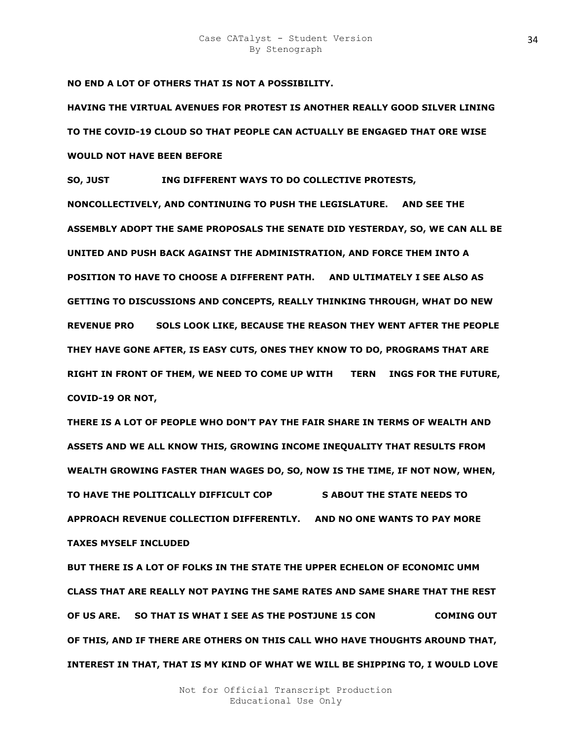**NO END A LOT OF OTHERS THAT IS NOT A POSSIBILITY.** 

**HAVING THE VIRTUAL AVENUES FOR PROTEST IS ANOTHER REALLY GOOD SILVER LINING TO THE COVID-19 CLOUD SO THAT PEOPLE CAN ACTUALLY BE ENGAGED THAT ORE WISE WOULD NOT HAVE BEEN BEFORE** 

**SO, JUST ING DIFFERENT WAYS TO DO COLLECTIVE PROTESTS, NONCOLLECTIVELY, AND CONTINUING TO PUSH THE LEGISLATURE. AND SEE THE ASSEMBLY ADOPT THE SAME PROPOSALS THE SENATE DID YESTERDAY, SO, WE CAN ALL BE UNITED AND PUSH BACK AGAINST THE ADMINISTRATION, AND FORCE THEM INTO A POSITION TO HAVE TO CHOOSE A DIFFERENT PATH. AND ULTIMATELY I SEE ALSO AS GETTING TO DISCUSSIONS AND CONCEPTS, REALLY THINKING THROUGH, WHAT DO NEW REVENUE PROPOE SOLS LOOK LIKE, BECAUSE THE REASON THEY WENT AFTER THE PEOPLE THEY HAVE GONE AFTER, IS EASY CUTS, ONES THEY KNOW TO DO, PROGRAMS THAT ARE**  RIGHT IN FRONT OF THEM, WE NEED TO COME UP WITH TERN INGS FOR THE FUTURE, **COVID-19 OR NOT,** 

**THERE IS A LOT OF PEOPLE WHO DON'T PAY THE FAIR SHARE IN TERMS OF WEALTH AND ASSETS AND WE ALL KNOW THIS, GROWING INCOME INEQUALITY THAT RESULTS FROM WEALTH GROWING FASTER THAN WAGES DO, SO, NOW IS THE TIME, IF NOT NOW, WHEN,**  TO HAVE THE POLITICALLY DIFFICULT COP **SABOUT THE STATE NEEDS TO APPROACH REVENUE COLLECTION DIFFERENTLY. AND NO ONE WANTS TO PAY MORE TAXES MYSELF INCLUDED** 

**BUT THERE IS A LOT OF FOLKS IN THE STATE THE UPPER ECHELON OF ECONOMIC UMM CLASS THAT ARE REALLY NOT PAYING THE SAME RATES AND SAME SHARE THAT THE REST OF US ARE.** SO THAT IS WHAT I SEE AS THE POSTJUNE 15 CON **SAME COMING OUT OF THIS, AND IF THERE ARE OTHERS ON THIS CALL WHO HAVE THOUGHTS AROUND THAT, INTEREST IN THAT, THAT IS MY KIND OF WHAT WE WILL BE SHIPPING TO, I WOULD LOVE**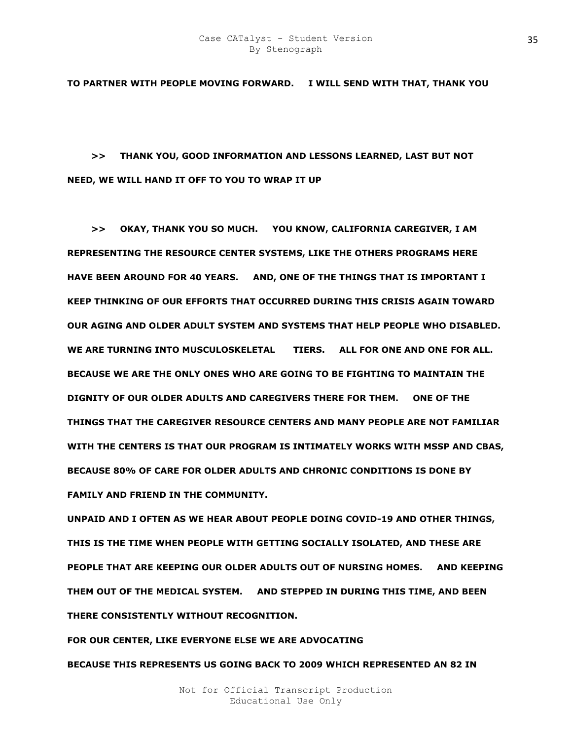**TO PARTNER WITH PEOPLE MOVING FORWARD. I WILL SEND WITH THAT, THANK YOU** 

 **>> THANK YOU, GOOD INFORMATION AND LESSONS LEARNED, LAST BUT NOT NEED, WE WILL HAND IT OFF TO YOU TO WRAP IT UP** 

 **>> OKAY, THANK YOU SO MUCH. YOU KNOW, CALIFORNIA CAREGIVER, I AM REPRESENTING THE RESOURCE CENTER SYSTEMS, LIKE THE OTHERS PROGRAMS HERE HAVE BEEN AROUND FOR 40 YEARS. AND, ONE OF THE THINGS THAT IS IMPORTANT I KEEP THINKING OF OUR EFFORTS THAT OCCURRED DURING THIS CRISIS AGAIN TOWARD OUR AGING AND OLDER ADULT SYSTEM AND SYSTEMS THAT HELP PEOPLE WHO DISABLED.**  WE ARE TURNING INTO MUSCULOSKELETAL TIERS. ALL FOR ONE AND ONE FOR ALL. **BECAUSE WE ARE THE ONLY ONES WHO ARE GOING TO BE FIGHTING TO MAINTAIN THE DIGNITY OF OUR OLDER ADULTS AND CAREGIVERS THERE FOR THEM. ONE OF THE THINGS THAT THE CAREGIVER RESOURCE CENTERS AND MANY PEOPLE ARE NOT FAMILIAR WITH THE CENTERS IS THAT OUR PROGRAM IS INTIMATELY WORKS WITH MSSP AND CBAS, BECAUSE 80% OF CARE FOR OLDER ADULTS AND CHRONIC CONDITIONS IS DONE BY FAMILY AND FRIEND IN THE COMMUNITY.** 

**UNPAID AND I OFTEN AS WE HEAR ABOUT PEOPLE DOING COVID-19 AND OTHER THINGS, THIS IS THE TIME WHEN PEOPLE WITH GETTING SOCIALLY ISOLATED, AND THESE ARE PEOPLE THAT ARE KEEPING OUR OLDER ADULTS OUT OF NURSING HOMES. AND KEEPING THEM OUT OF THE MEDICAL SYSTEM. AND STEPPED IN DURING THIS TIME, AND BEEN THERE CONSISTENTLY WITHOUT RECOGNITION.** 

**FOR OUR CENTER, LIKE EVERYONE ELSE WE ARE ADVOCATING BECAUSE THIS REPRESENTS US GOING BACK TO 2009 WHICH REPRESENTED AN 82 IN**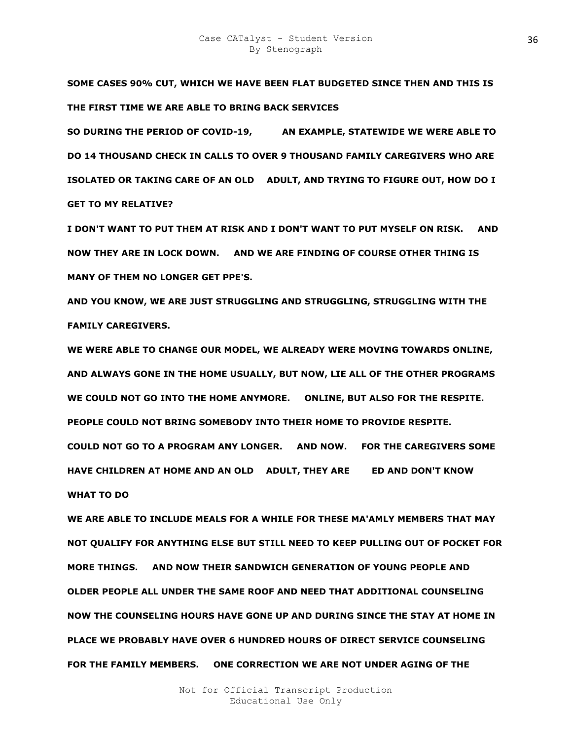**SOME CASES 90% CUT, WHICH WE HAVE BEEN FLAT BUDGETED SINCE THEN AND THIS IS THE FIRST TIME WE ARE ABLE TO BRING BACK SERVICES** 

**SO DURING THE PERIOD OF COVID-19, AN EXAMPLE, STATEWIDE WE WERE ABLE TO DO 14 THOUSAND CHECK IN CALLS TO OVER 9 THOUSAND FAMILY CAREGIVERS WHO ARE ISOLATED OR TAKING CARE OF AN OLD R ADULT, AND TRYING TO FIGURE OUT, HOW DO I GET TO MY RELATIVE?** 

**I DON'T WANT TO PUT THEM AT RISK AND I DON'T WANT TO PUT MYSELF ON RISK. AND NOW THEY ARE IN LOCK DOWN. AND WE ARE FINDING OF COURSE OTHER THING IS MANY OF THEM NO LONGER GET PPE'S.** 

**AND YOU KNOW, WE ARE JUST STRUGGLING AND STRUGGLING, STRUGGLING WITH THE FAMILY CAREGIVERS.** 

**WE WERE ABLE TO CHANGE OUR MODEL, WE ALREADY WERE MOVING TOWARDS ONLINE, AND ALWAYS GONE IN THE HOME USUALLY, BUT NOW, LIE ALL OF THE OTHER PROGRAMS WE COULD NOT GO INTO THE HOME ANYMORE. ONLINE, BUT ALSO FOR THE RESPITE. PEOPLE COULD NOT BRING SOMEBODY INTO THEIR HOME TO PROVIDE RESPITE. COULD NOT GO TO A PROGRAM ANY LONGER. AND NOW. FOR THE CAREGIVERS SOME HAVE CHILDREN AT HOME AND AN OLD ADULT, THEY ARE GED AND DON'T KNOW BULLER WHAT TO DO** 

**WE ARE ABLE TO INCLUDE MEALS FOR A WHILE FOR THESE MA'AMLY MEMBERS THAT MAY NOT QUALIFY FOR ANYTHING ELSE BUT STILL NEED TO KEEP PULLING OUT OF POCKET FOR MORE THINGS. AND NOW THEIR SANDWICH GENERATION OF YOUNG PEOPLE AND OLDER PEOPLE ALL UNDER THE SAME ROOF AND NEED THAT ADDITIONAL COUNSELING NOW THE COUNSELING HOURS HAVE GONE UP AND DURING SINCE THE STAY AT HOME IN PLACE WE PROBABLY HAVE OVER 6 HUNDRED HOURS OF DIRECT SERVICE COUNSELING FOR THE FAMILY MEMBERS. ONE CORRECTION WE ARE NOT UNDER AGING OF THE**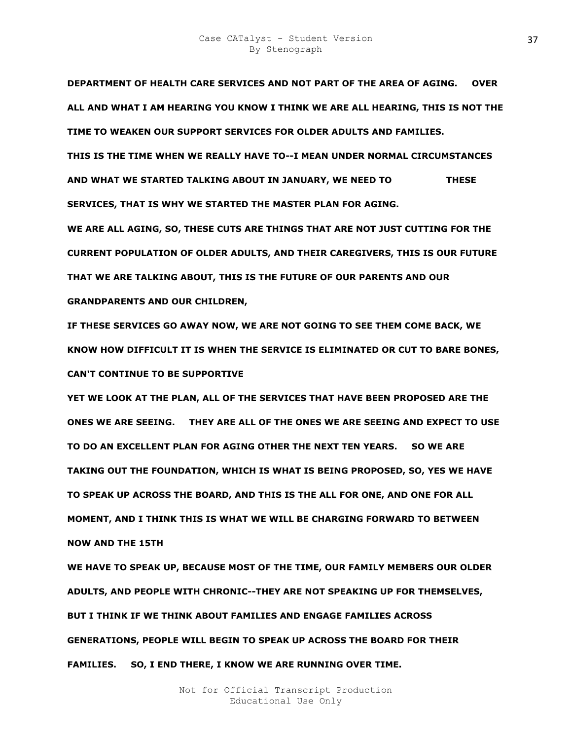**DEPARTMENT OF HEALTH CARE SERVICES AND NOT PART OF THE AREA OF AGING. OVER ALL AND WHAT I AM HEARING YOU KNOW I THINK WE ARE ALL HEARING, THIS IS NOT THE TIME TO WEAKEN OUR SUPPORT SERVICES FOR OLDER ADULTS AND FAMILIES. THIS IS THE TIME WHEN WE REALLY HAVE TO--I MEAN UNDER NORMAL CIRCUMSTANCES AND WHAT WE STARTED TALKING ABOUT IN JANUARY, WE NEED TO THESE SERVICES, THAT IS WHY WE STARTED THE MASTER PLAN FOR AGING.** 

**WE ARE ALL AGING, SO, THESE CUTS ARE THINGS THAT ARE NOT JUST CUTTING FOR THE CURRENT POPULATION OF OLDER ADULTS, AND THEIR CAREGIVERS, THIS IS OUR FUTURE THAT WE ARE TALKING ABOUT, THIS IS THE FUTURE OF OUR PARENTS AND OUR GRANDPARENTS AND OUR CHILDREN,** 

**IF THESE SERVICES GO AWAY NOW, WE ARE NOT GOING TO SEE THEM COME BACK, WE KNOW HOW DIFFICULT IT IS WHEN THE SERVICE IS ELIMINATED OR CUT TO BARE BONES, CAN'T CONTINUE TO BE SUPPORTIVE** 

**YET WE LOOK AT THE PLAN, ALL OF THE SERVICES THAT HAVE BEEN PROPOSED ARE THE ONES WE ARE SEEING. THEY ARE ALL OF THE ONES WE ARE SEEING AND EXPECT TO USE TO DO AN EXCELLENT PLAN FOR AGING OTHER THE NEXT TEN YEARS. SO WE ARE TAKING OUT THE FOUNDATION, WHICH IS WHAT IS BEING PROPOSED, SO, YES WE HAVE TO SPEAK UP ACROSS THE BOARD, AND THIS IS THE ALL FOR ONE, AND ONE FOR ALL MOMENT, AND I THINK THIS IS WHAT WE WILL BE CHARGING FORWARD TO BETWEEN NOW AND THE 15TH** 

**WE HAVE TO SPEAK UP, BECAUSE MOST OF THE TIME, OUR FAMILY MEMBERS OUR OLDER ADULTS, AND PEOPLE WITH CHRONIC--THEY ARE NOT SPEAKING UP FOR THEMSELVES, BUT I THINK IF WE THINK ABOUT FAMILIES AND ENGAGE FAMILIES ACROSS GENERATIONS, PEOPLE WILL BEGIN TO SPEAK UP ACROSS THE BOARD FOR THEIR FAMILIES. SO, I END THERE, I KNOW WE ARE RUNNING OVER TIME.**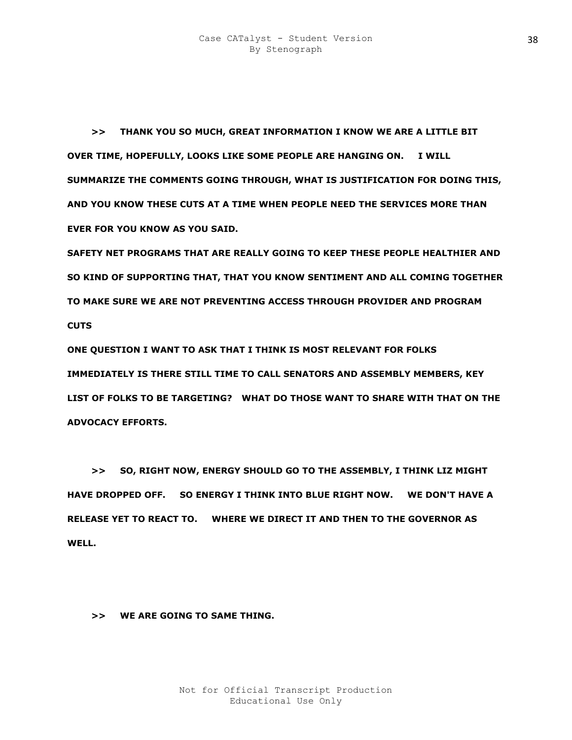**>> THANK YOU SO MUCH, GREAT INFORMATION I KNOW WE ARE A LITTLE BIT OVER TIME, HOPEFULLY, LOOKS LIKE SOME PEOPLE ARE HANGING ON. I WILL SUMMARIZE THE COMMENTS GOING THROUGH, WHAT IS JUSTIFICATION FOR DOING THIS, AND YOU KNOW THESE CUTS AT A TIME WHEN PEOPLE NEED THE SERVICES MORE THAN EVER FOR YOU KNOW AS YOU SAID.** 

**SAFETY NET PROGRAMS THAT ARE REALLY GOING TO KEEP THESE PEOPLE HEALTHIER AND SO KIND OF SUPPORTING THAT, THAT YOU KNOW SENTIMENT AND ALL COMING TOGETHER TO MAKE SURE WE ARE NOT PREVENTING ACCESS THROUGH PROVIDER AND PROGRAM CUTS** 

**ONE QUESTION I WANT TO ASK THAT I THINK IS MOST RELEVANT FOR FOLKS IMMEDIATELY IS THERE STILL TIME TO CALL SENATORS AND ASSEMBLY MEMBERS, KEY LIST OF FOLKS TO BE TARGETING? WHAT DO THOSE WANT TO SHARE WITH THAT ON THE ADVOCACY EFFORTS.** 

 **>> SO, RIGHT NOW, ENERGY SHOULD GO TO THE ASSEMBLY, I THINK LIZ MIGHT HAVE DROPPED OFF. SO ENERGY I THINK INTO BLUE RIGHT NOW. WE DON'T HAVE A RELEASE YET TO REACT TO. WHERE WE DIRECT IT AND THEN TO THE GOVERNOR AS WELL.** 

 **>> WE ARE GOING TO SAME THING.**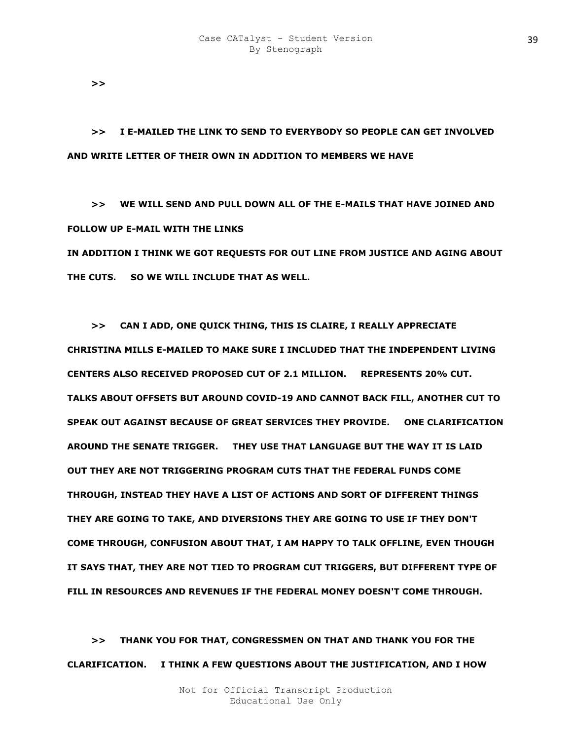**>>** 

 **>> I E-MAILED THE LINK TO SEND TO EVERYBODY SO PEOPLE CAN GET INVOLVED AND WRITE LETTER OF THEIR OWN IN ADDITION TO MEMBERS WE HAVE** 

 **>> WE WILL SEND AND PULL DOWN ALL OF THE E-MAILS THAT HAVE JOINED AND FOLLOW UP E-MAIL WITH THE LINKS** 

**IN ADDITION I THINK WE GOT REQUESTS FOR OUT LINE FROM JUSTICE AND AGING ABOUT THE CUTS. SO WE WILL INCLUDE THAT AS WELL.** 

 **>> CAN I ADD, ONE QUICK THING, THIS IS CLAIRE, I REALLY APPRECIATE CHRISTINA MILLS E-MAILED TO MAKE SURE I INCLUDED THAT THE INDEPENDENT LIVING CENTERS ALSO RECEIVED PROPOSED CUT OF 2.1 MILLION. REPRESENTS 20% CUT. TALKS ABOUT OFFSETS BUT AROUND COVID-19 AND CANNOT BACK FILL, ANOTHER CUT TO SPEAK OUT AGAINST BECAUSE OF GREAT SERVICES THEY PROVIDE. ONE CLARIFICATION AROUND THE SENATE TRIGGER. THEY USE THAT LANGUAGE BUT THE WAY IT IS LAID OUT THEY ARE NOT TRIGGERING PROGRAM CUTS THAT THE FEDERAL FUNDS COME THROUGH, INSTEAD THEY HAVE A LIST OF ACTIONS AND SORT OF DIFFERENT THINGS THEY ARE GOING TO TAKE, AND DIVERSIONS THEY ARE GOING TO USE IF THEY DON'T COME THROUGH, CONFUSION ABOUT THAT, I AM HAPPY TO TALK OFFLINE, EVEN THOUGH IT SAYS THAT, THEY ARE NOT TIED TO PROGRAM CUT TRIGGERS, BUT DIFFERENT TYPE OF FILL IN RESOURCES AND REVENUES IF THE FEDERAL MONEY DOESN'T COME THROUGH.** 

 **>> THANK YOU FOR THAT, CONGRESSMEN ON THAT AND THANK YOU FOR THE CLARIFICATION. I THINK A FEW QUESTIONS ABOUT THE JUSTIFICATION, AND I HOW**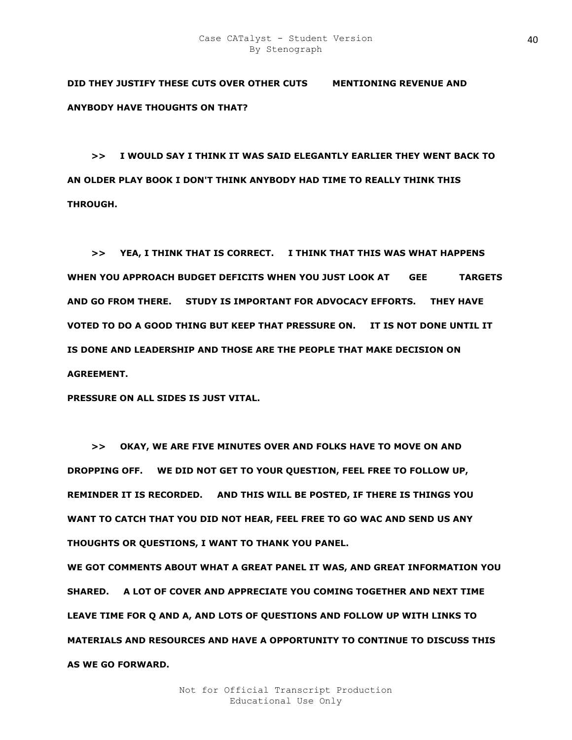**DID THEY JUSTIFY THESE CUTS OVER OTHER CUTS MENTIONING REVENUE AND ANYBODY HAVE THOUGHTS ON THAT?** 

 **>> I WOULD SAY I THINK IT WAS SAID ELEGANTLY EARLIER THEY WENT BACK TO AN OLDER PLAY BOOK I DON'T THINK ANYBODY HAD TIME TO REALLY THINK THIS THROUGH.** 

 **>> YEA, I THINK THAT IS CORRECT. I THINK THAT THIS WAS WHAT HAPPENS**  WHEN YOU APPROACH BUDGET DEFICITS WHEN YOU JUST LOOK AT GEE TARGETS **AND GO FROM THERE. STUDY IS IMPORTANT FOR ADVOCACY EFFORTS. THEY HAVE VOTED TO DO A GOOD THING BUT KEEP THAT PRESSURE ON. IT IS NOT DONE UNTIL IT IS DONE AND LEADERSHIP AND THOSE ARE THE PEOPLE THAT MAKE DECISION ON AGREEMENT.** 

**PRESSURE ON ALL SIDES IS JUST VITAL.** 

 **>> OKAY, WE ARE FIVE MINUTES OVER AND FOLKS HAVE TO MOVE ON AND DROPPING OFF. WE DID NOT GET TO YOUR QUESTION, FEEL FREE TO FOLLOW UP, REMINDER IT IS RECORDED. AND THIS WILL BE POSTED, IF THERE IS THINGS YOU WANT TO CATCH THAT YOU DID NOT HEAR, FEEL FREE TO GO WAC AND SEND US ANY THOUGHTS OR QUESTIONS, I WANT TO THANK YOU PANEL.** 

**WE GOT COMMENTS ABOUT WHAT A GREAT PANEL IT WAS, AND GREAT INFORMATION YOU SHARED. A LOT OF COVER AND APPRECIATE YOU COMING TOGETHER AND NEXT TIME LEAVE TIME FOR Q AND A, AND LOTS OF QUESTIONS AND FOLLOW UP WITH LINKS TO MATERIALS AND RESOURCES AND HAVE A OPPORTUNITY TO CONTINUE TO DISCUSS THIS AS WE GO FORWARD.**